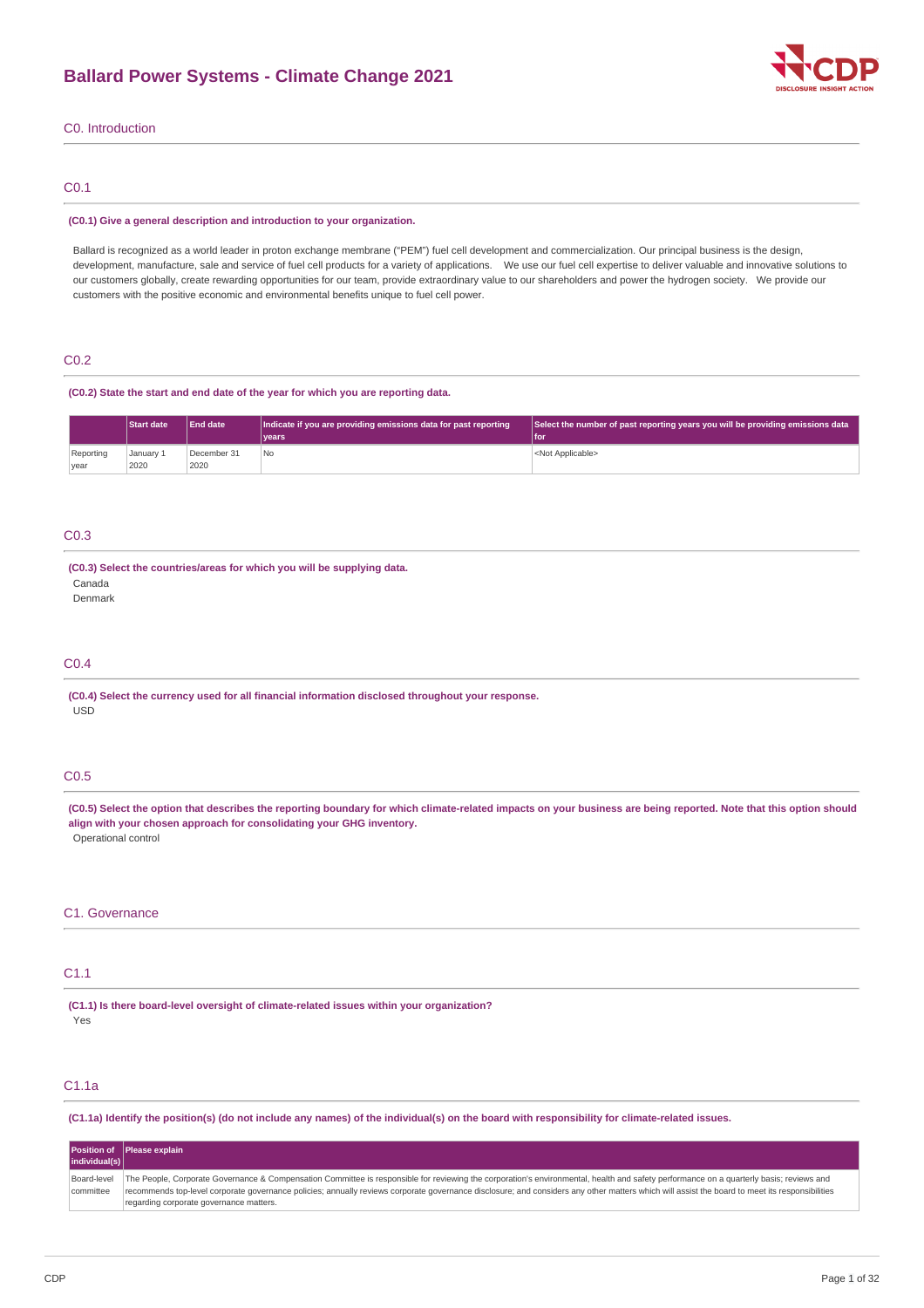

# C0. Introduction

# C0.1

#### **(C0.1) Give a general description and introduction to your organization.**

Ballard is recognized as a world leader in proton exchange membrane ("PEM") fuel cell development and commercialization. Our principal business is the design, development, manufacture, sale and service of fuel cell products for a variety of applications. We use our fuel cell expertise to deliver valuable and innovative solutions to our customers globally, create rewarding opportunities for our team, provide extraordinary value to our shareholders and power the hydrogen society. We provide our customers with the positive economic and environmental benefits unique to fuel cell power.

## C0.2

#### **(C0.2) State the start and end date of the year for which you are reporting data.**

|                   | <b>Start date</b> | <b>End date</b>     | Indicate if you are providing emissions data for past reporting<br>l vears | Select the number of past reporting years you will be providing emissions data<br>l for |
|-------------------|-------------------|---------------------|----------------------------------------------------------------------------|-----------------------------------------------------------------------------------------|
| Reporting<br>vear | January 1<br>2020 | December 31<br>2020 | l No                                                                       | <not applicable=""></not>                                                               |

# C0.3

### **(C0.3) Select the countries/areas for which you will be supplying data.**

Canada

Denmark

# C0.4

**(C0.4) Select the currency used for all financial information disclosed throughout your response.** USD

# C0.5

(C0.5) Select the option that describes the reporting boundary for which climate-related impacts on your business are being reported. Note that this option should **align with your chosen approach for consolidating your GHG inventory.** Operational control

### C1. Governance

# C1.1

**(C1.1) Is there board-level oversight of climate-related issues within your organization?** Yes

# C1.1a

(C1.1a) Identify the position(s) (do not include any names) of the individual(s) on the board with responsibility for climate-related issues.

|                          | Position of Please explain                                                                                                                                                                                                                                                                                                                                                                                                           |
|--------------------------|--------------------------------------------------------------------------------------------------------------------------------------------------------------------------------------------------------------------------------------------------------------------------------------------------------------------------------------------------------------------------------------------------------------------------------------|
| individual(s)            |                                                                                                                                                                                                                                                                                                                                                                                                                                      |
| Board-level<br>committee | The People, Corporate Governance & Compensation Committee is responsible for reviewing the corporation's environmental, health and safety performance on a quarterly basis; reviews and<br>recommends top-level corporate governance policies; annually reviews corporate governance disclosure; and considers any other matters which will assist the board to meet its responsibilities<br>regarding corporate governance matters. |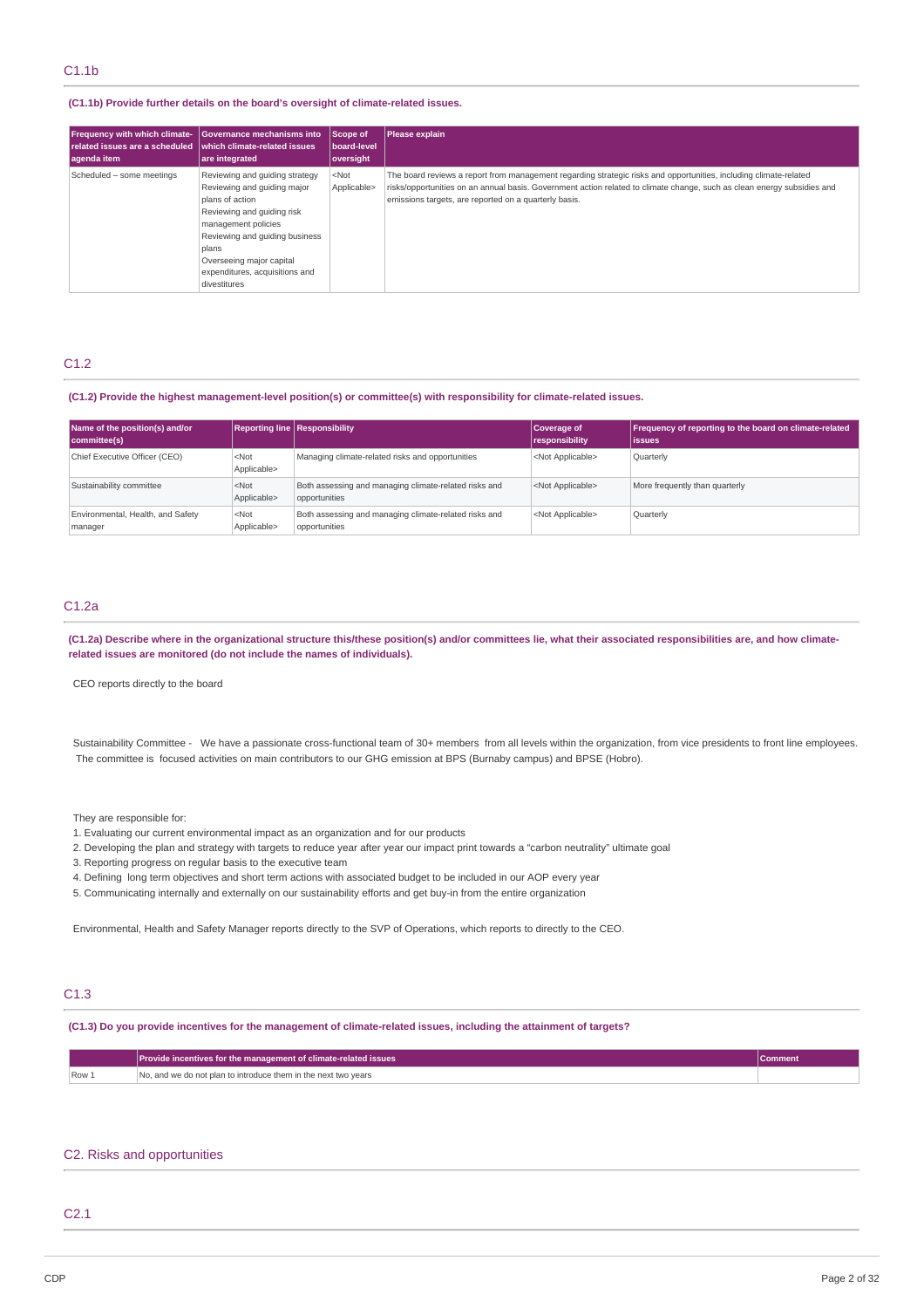#### **(C1.1b) Provide further details on the board's oversight of climate-related issues.**

| <b>Frequency with which climate-</b> | Governance mechanisms into                                                                                                                                                                                                                                     | Scope of               | Please explain                                                                                                                                                                                                                                                                                        |
|--------------------------------------|----------------------------------------------------------------------------------------------------------------------------------------------------------------------------------------------------------------------------------------------------------------|------------------------|-------------------------------------------------------------------------------------------------------------------------------------------------------------------------------------------------------------------------------------------------------------------------------------------------------|
| related issues are a scheduled       | which climate-related issues                                                                                                                                                                                                                                   | board-level            |                                                                                                                                                                                                                                                                                                       |
| agenda item                          | are integrated                                                                                                                                                                                                                                                 | oversight              |                                                                                                                                                                                                                                                                                                       |
| Scheduled - some meetings            | Reviewing and quiding strategy<br>Reviewing and quiding major<br>plans of action<br>Reviewing and guiding risk<br>management policies<br>Reviewing and quiding business<br>plans<br>Overseeing major capital<br>expenditures, acquisitions and<br>divestitures | $<$ Not<br>Applicable> | The board reviews a report from management regarding strategic risks and opportunities, including climate-related<br>risks/opportunities on an annual basis. Government action related to climate change, such as clean energy subsidies and<br>emissions targets, are reported on a quarterly basis. |

# C1.2

#### **(C1.2) Provide the highest management-level position(s) or committee(s) with responsibility for climate-related issues.**

| Name of the position(s) and/or<br>committee(s) |                                 | Reporting line Responsibility                                          | Coverage of<br>responsibility | Frequency of reporting to the board on climate-related<br>lissues |
|------------------------------------------------|---------------------------------|------------------------------------------------------------------------|-------------------------------|-------------------------------------------------------------------|
| Chief Executive Officer (CEO)                  | $<$ Not<br>Applicable>          | Managing climate-related risks and opportunities                       | <not applicable=""></not>     | Quarterly                                                         |
| Sustainability committee                       | $<$ Not<br>Applicable>          | Both assessing and managing climate-related risks and<br>opportunities | <not applicable=""></not>     | More frequently than quarterly                                    |
| Environmental, Health, and Safety<br>manager   | <not<br>Applicable&gt;</not<br> | Both assessing and managing climate-related risks and<br>opportunities | <not applicable=""></not>     | Quarterly                                                         |

# C1.2a

(C1.2a) Describe where in the organizational structure this/these position(s) and/or committees lie, what their associated responsibilities are, and how climate**related issues are monitored (do not include the names of individuals).**

CEO reports directly to the board

Sustainability Committee - We have a passionate cross-functional team of 30+ members from all levels within the organization, from vice presidents to front line employees. The committee is focused activities on main contributors to our GHG emission at BPS (Burnaby campus) and BPSE (Hobro).

They are responsible for:

- 1. Evaluating our current environmental impact as an organization and for our products
- 2. Developing the plan and strategy with targets to reduce year after year our impact print towards a "carbon neutrality" ultimate goal
- 3. Reporting progress on regular basis to the executive team
- 4. Defining long term objectives and short term actions with associated budget to be included in our AOP every year
- 5. Communicating internally and externally on our sustainability efforts and get buy-in from the entire organization

Environmental, Health and Safety Manager reports directly to the SVP of Operations, which reports to directly to the CEO.

# C1.3

### (C1.3) Do you provide incentives for the management of climate-related issues, including the attainment of targets?

|       | Provide incentives for the management of climate-related issues |  |
|-------|-----------------------------------------------------------------|--|
| Row 1 | No, and we do not plan to introduce them in the next two years  |  |

#### C2. Risks and opportunities

# C2.1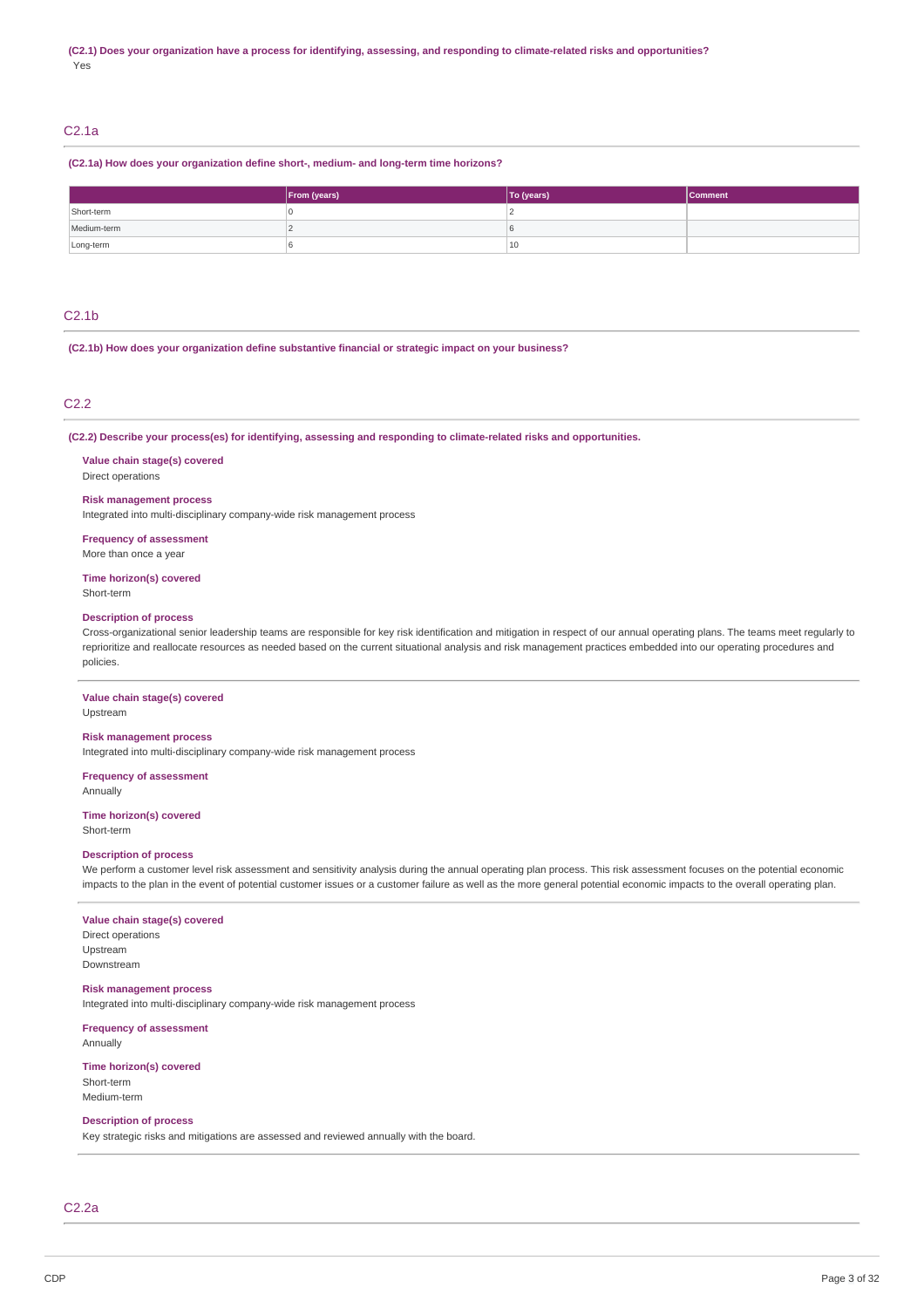# C2.1a

#### **(C2.1a) How does your organization define short-, medium- and long-term time horizons?**

|             | From (years) | To (years) | <b>Comment</b> |
|-------------|--------------|------------|----------------|
| Short-term  |              |            |                |
| Medium-term |              |            |                |
| Long-term   |              | 10         |                |

# C2.1b

**(C2.1b) How does your organization define substantive financial or strategic impact on your business?**

## C2.2

**(C2.2) Describe your process(es) for identifying, assessing and responding to climate-related risks and opportunities.**

**Value chain stage(s) covered** Direct operations

### **Risk management process**

Integrated into multi-disciplinary company-wide risk management process

**Frequency of assessment** More than once a year

**Time horizon(s) covered**

Short-term

#### **Description of process**

Cross-organizational senior leadership teams are responsible for key risk identification and mitigation in respect of our annual operating plans. The teams meet regularly to reprioritize and reallocate resources as needed based on the current situational analysis and risk management practices embedded into our operating procedures and policies.

### **Value chain stage(s) covered**

Upstream

### **Risk management process**

Integrated into multi-disciplinary company-wide risk management process

**Frequency of assessment**

Annually

#### **Time horizon(s) covered** Short-term

#### **Description of process**

We perform a customer level risk assessment and sensitivity analysis during the annual operating plan process. This risk assessment focuses on the potential economic impacts to the plan in the event of potential customer issues or a customer failure as well as the more general potential economic impacts to the overall operating plan.

# **Value chain stage(s) covered**

Direct operations Upstream Downstream

#### **Risk management process**

Integrated into multi-disciplinary company-wide risk management process

**Frequency of assessment** Annually

# **Time horizon(s) covered** Short-term

Medium-term

# **Description of process**

Key strategic risks and mitigations are assessed and reviewed annually with the board.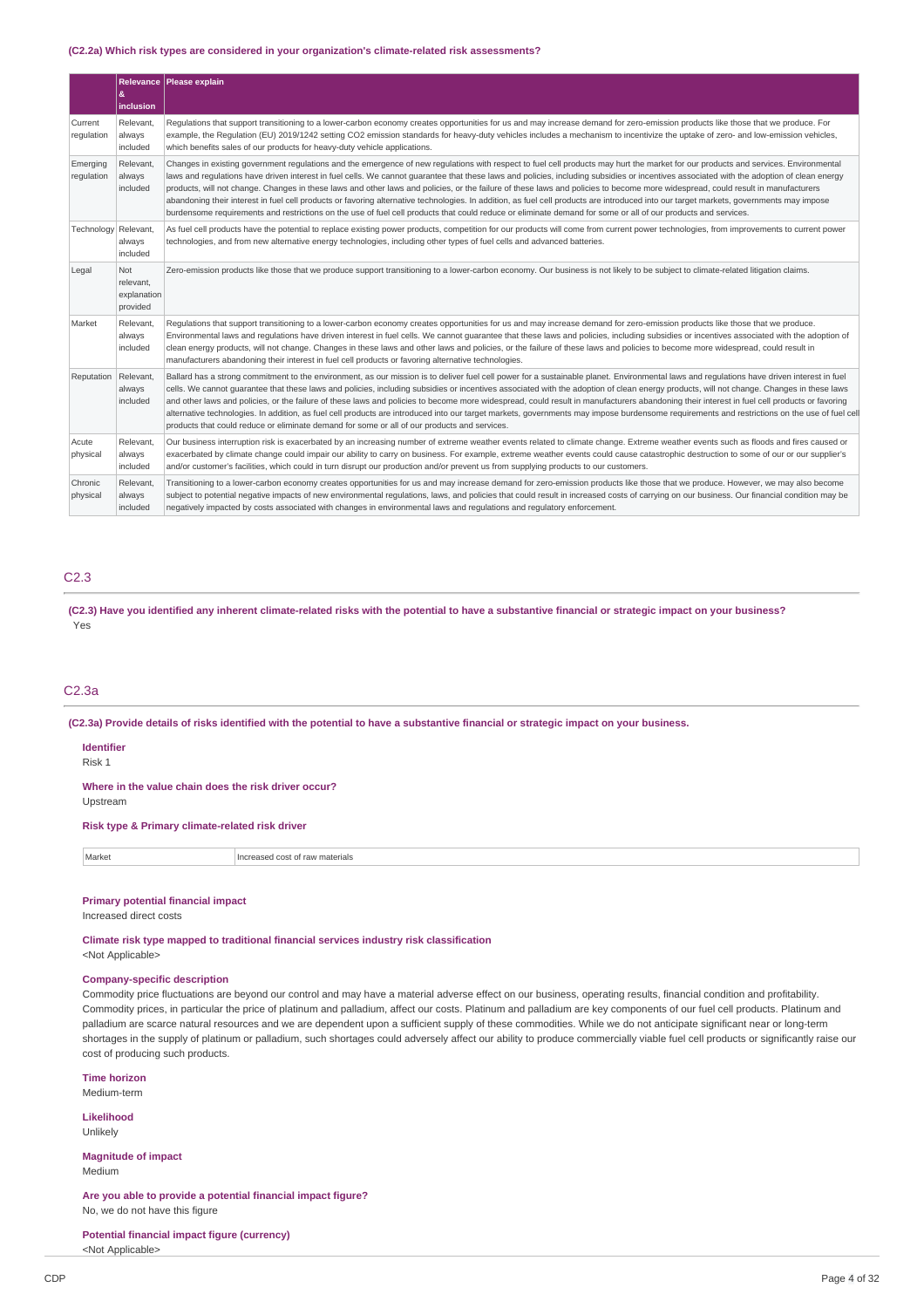#### **(C2.2a) Which risk types are considered in your organization's climate-related risk assessments?**

|                        | æ.<br>inclusion                             | Relevance   Please explain                                                                                                                                                                                                                                                                                                                                                                                                                                                                                                                                                                                                                                                                                                                                                                                                                                                                                                       |
|------------------------|---------------------------------------------|----------------------------------------------------------------------------------------------------------------------------------------------------------------------------------------------------------------------------------------------------------------------------------------------------------------------------------------------------------------------------------------------------------------------------------------------------------------------------------------------------------------------------------------------------------------------------------------------------------------------------------------------------------------------------------------------------------------------------------------------------------------------------------------------------------------------------------------------------------------------------------------------------------------------------------|
| Current<br>regulation  | Relevant,<br>always<br>included             | Requlations that support transitioning to a lower-carbon economy creates opportunities for us and may increase demand for zero-emission products like those that we produce. For<br>example, the Regulation (EU) 2019/1242 setting CO2 emission standards for heavy-duty vehicles includes a mechanism to incentivize the uptake of zero- and low-emission vehicles,<br>which benefits sales of our products for heavy-duty vehicle applications.                                                                                                                                                                                                                                                                                                                                                                                                                                                                                |
| Emerging<br>regulation | Relevant.<br>always<br>included             | Changes in existing government regulations and the emergence of new regulations with respect to fuel cell products may hurt the market for our products and services. Environmental<br>laws and requlations have driven interest in fuel cells. We cannot quarantee that these laws and policies, including subsidies or incentives associated with the adoption of clean energy<br>products, will not change. Changes in these laws and other laws and policies, or the failure of these laws and policies to become more widespread, could result in manufacturers<br>abandoning their interest in fuel cell products or favoring alternative technologies. In addition, as fuel cell products are introduced into our target markets, governments may impose<br>burdensome requirements and restrictions on the use of fuel cell products that could reduce or eliminate demand for some or all of our products and services. |
| Technology Relevant,   | always<br>included                          | As fuel cell products have the potential to replace existing power products, competition for our products will come from current power technologies, from improvements to current power<br>technologies, and from new alternative energy technologies, including other types of fuel cells and advanced batteries.                                                                                                                                                                                                                                                                                                                                                                                                                                                                                                                                                                                                               |
| Legal                  | Not<br>relevant,<br>explanation<br>provided | Zero-emission products like those that we produce support transitioning to a lower-carbon economy. Our business is not likely to be subject to climate-related litigation claims.                                                                                                                                                                                                                                                                                                                                                                                                                                                                                                                                                                                                                                                                                                                                                |
| Market                 | Relevant.<br>always<br>included             | Requlations that support transitioning to a lower-carbon economy creates opportunities for us and may increase demand for zero-emission products like those that we produce.<br>Environmental laws and regulations have driven interest in fuel cells. We cannot quarantee that these laws and policies, including subsidies or incentives associated with the adoption of<br>clean energy products, will not change. Changes in these laws and other laws and policies, or the failure of these laws and policies to become more widespread, could result in<br>manufacturers abandoning their interest in fuel cell products or favoring alternative technologies.                                                                                                                                                                                                                                                             |
| Reputation             | Relevant,<br>always<br>included             | Ballard has a strong commitment to the environment, as our mission is to deliver fuel cell power for a sustainable planet. Environmental laws and regulations have driven interest in fuel<br>cells. We cannot guarantee that these laws and policies, including subsidies or incentives associated with the adoption of clean energy products, will not change. Changes in these laws<br>and other laws and policies, or the failure of these laws and policies to become more widespread, could result in manufacturers abandoning their interest in fuel cell products or favoring<br>alternative technologies. In addition, as fuel cell products are introduced into our target markets, governments may impose burdensome requirements and restrictions on the use of fuel cell<br>products that could reduce or eliminate demand for some or all of our products and services.                                            |
| Acute<br>physical      | Relevant,<br>always<br>included             | Our business interruption risk is exacerbated by an increasing number of extreme weather events related to climate change. Extreme weather events such as floods and fires caused or<br>exacerbated by climate change could impair our ability to carry on business. For example, extreme weather events could cause catastrophic destruction to some of our or our supplier's<br>and/or customer's facilities, which could in turn disrupt our production and/or prevent us from supplying products to our customers.                                                                                                                                                                                                                                                                                                                                                                                                           |
| Chronic<br>physical    | Relevant,<br>always<br>included             | Transitioning to a lower-carbon economy creates opportunities for us and may increase demand for zero-emission products like those that we produce. However, we may also become<br>subject to potential negative impacts of new environmental regulations, laws, and policies that could result in increased costs of carrying on our business. Our financial condition may be<br>negatively impacted by costs associated with changes in environmental laws and regulations and regulatory enforcement.                                                                                                                                                                                                                                                                                                                                                                                                                         |

# C2.3

(C2.3) Have you identified any inherent climate-related risks with the potential to have a substantive financial or strategic impact on your business? Yes

# C2.3a

(C2.3a) Provide details of risks identified with the potential to have a substantive financial or strategic impact on your business.

### **Identifier**

Risk 1

**Where in the value chain does the risk driver occur?** Upstream

**Risk type & Primary climate-related risk driver**

| Market<br>$\sim$<br>2000<br>t raw materials<br>Increa<br>1.1.7. |  |
|-----------------------------------------------------------------|--|
|-----------------------------------------------------------------|--|

#### **Primary potential financial impact**

Increased direct costs

**Climate risk type mapped to traditional financial services industry risk classification** <Not Applicable>

### **Company-specific description**

Commodity price fluctuations are beyond our control and may have a material adverse effect on our business, operating results, financial condition and profitability. Commodity prices, in particular the price of platinum and palladium, affect our costs. Platinum and palladium are key components of our fuel cell products. Platinum and palladium are scarce natural resources and we are dependent upon a sufficient supply of these commodities. While we do not anticipate significant near or long-term shortages in the supply of platinum or palladium, such shortages could adversely affect our ability to produce commercially viable fuel cell products or significantly raise our cost of producing such products.

**Time horizon**

Medium-term

**Likelihood** Unlikely

**Magnitude of impact** Medium

**Are you able to provide a potential financial impact figure?** No, we do not have this figure

**Potential financial impact figure (currency)** <Not Applicable>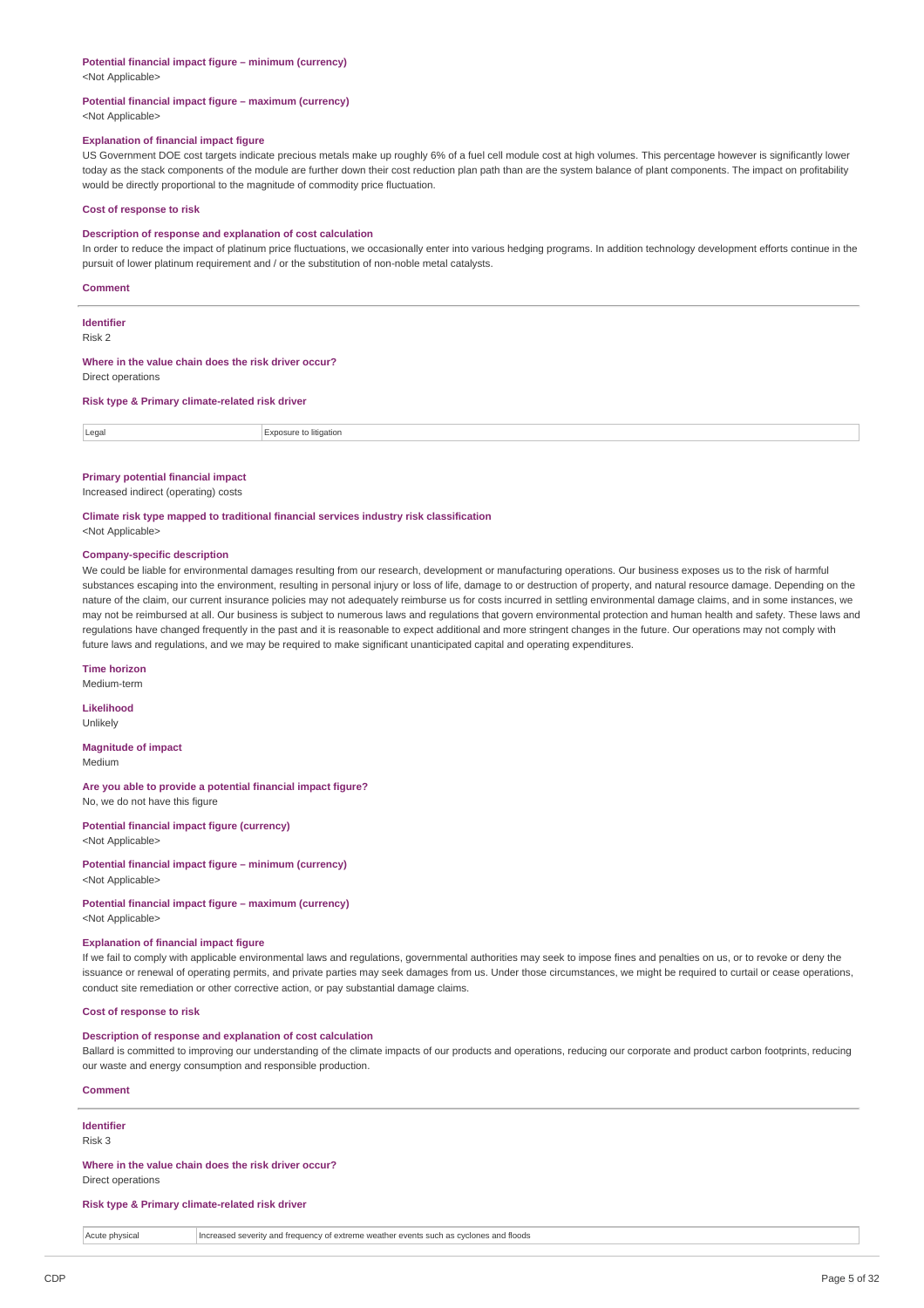#### **Potential financial impact figure – minimum (currency)** <Not Applicable>

#### **Potential financial impact figure – maximum (currency)**

<Not Applicable>

### **Explanation of financial impact figure**

US Government DOE cost targets indicate precious metals make up roughly 6% of a fuel cell module cost at high volumes. This percentage however is significantly lower today as the stack components of the module are further down their cost reduction plan path than are the system balance of plant components. The impact on profitability would be directly proportional to the magnitude of commodity price fluctuation.

#### **Cost of response to risk**

#### **Description of response and explanation of cost calculation**

In order to reduce the impact of platinum price fluctuations, we occasionally enter into various hedging programs. In addition technology development efforts continue in the pursuit of lower platinum requirement and / or the substitution of non-noble metal catalysts.

#### **Comment**

**Identifier**

### Risk 2

# **Where in the value chain does the risk driver occur?**

Direct operations

#### **Risk type & Primary climate-related risk driver**

Legal Exposure to litigation

#### **Primary potential financial impact**

Increased indirect (operating) costs

#### **Climate risk type mapped to traditional financial services industry risk classification**

<Not Applicable>

### **Company-specific description**

We could be liable for environmental damages resulting from our research, development or manufacturing operations. Our business exposes us to the risk of harmful substances escaping into the environment, resulting in personal injury or loss of life, damage to or destruction of property, and natural resource damage. Depending on the nature of the claim, our current insurance policies may not adequately reimburse us for costs incurred in settling environmental damage claims, and in some instances, we may not be reimbursed at all. Our business is subject to numerous laws and regulations that govern environmental protection and human health and safety. These laws and regulations have changed frequently in the past and it is reasonable to expect additional and more stringent changes in the future. Our operations may not comply with future laws and regulations, and we may be required to make significant unanticipated capital and operating expenditures.

#### **Time horizon**

Medium-term

**Likelihood** Unlikely

# **Magnitude of impact**

Medium

#### **Are you able to provide a potential financial impact figure?** No, we do not have this figure

**Potential financial impact figure (currency)**

<Not Applicable>

#### **Potential financial impact figure – minimum (currency)** <Not Applicable>

### **Potential financial impact figure – maximum (currency)** <Not Applicable>

# **Explanation of financial impact figure**

If we fail to comply with applicable environmental laws and regulations, governmental authorities may seek to impose fines and penalties on us, or to revoke or deny the issuance or renewal of operating permits, and private parties may seek damages from us. Under those circumstances, we might be required to curtail or cease operations, conduct site remediation or other corrective action, or pay substantial damage claims.

# **Cost of response to risk**

### **Description of response and explanation of cost calculation**

Ballard is committed to improving our understanding of the climate impacts of our products and operations, reducing our corporate and product carbon footprints, reducing our waste and energy consumption and responsible production.

### **Comment**

# **Identifier**

Risk 3

### **Where in the value chain does the risk driver occur?**

Direct operations

#### **Risk type & Primary climate-related risk driver**

| $A$ outo<br><i>חוסו</i> ת<br>. | es and floods<br>i treguency oʻ<br>l severity and<br>t extreme weather events :<br>. cyclones<br>s such ኤ<br>.<br>. |
|--------------------------------|---------------------------------------------------------------------------------------------------------------------|
|                                |                                                                                                                     |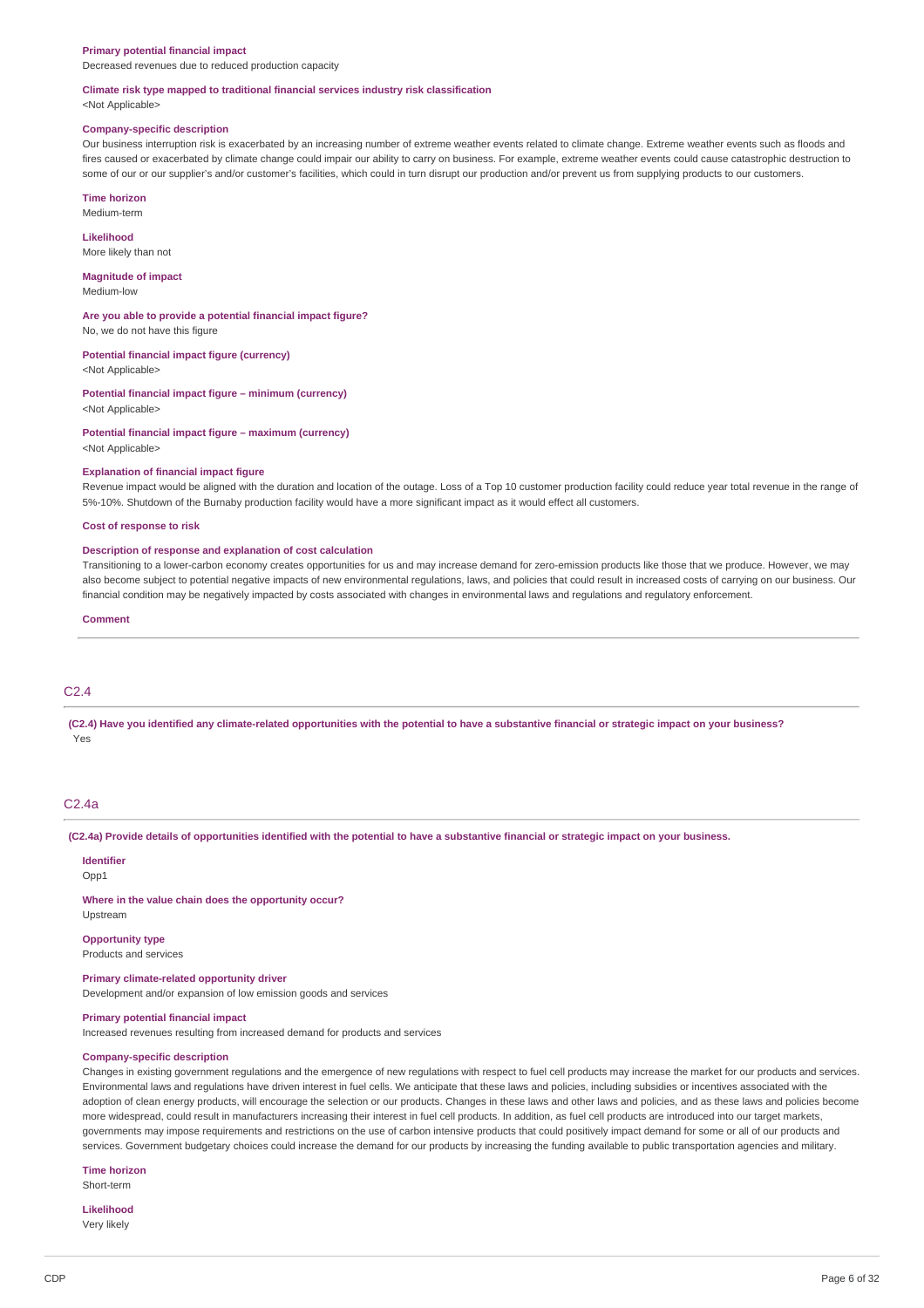#### **Primary potential financial impact**

Decreased revenues due to reduced production capacity

#### **Climate risk type mapped to traditional financial services industry risk classification**

<Not Applicable>

#### **Company-specific description**

Our business interruption risk is exacerbated by an increasing number of extreme weather events related to climate change. Extreme weather events such as floods and fires caused or exacerbated by climate change could impair our ability to carry on business. For example, extreme weather events could cause catastrophic destruction to some of our or our supplier's and/or customer's facilities, which could in turn disrupt our production and/or prevent us from supplying products to our customers.

**Time horizon** Medium-term

**Likelihood** More likely than not

**Magnitude of impact**

Medium-low

**Are you able to provide a potential financial impact figure?**

No, we do not have this figure

**Potential financial impact figure (currency)**

<Not Applicable>

**Potential financial impact figure – minimum (currency)** <Not Applicable>

**Potential financial impact figure – maximum (currency)**

<Not Applicable>

#### **Explanation of financial impact figure**

Revenue impact would be aligned with the duration and location of the outage. Loss of a Top 10 customer production facility could reduce year total revenue in the range of 5%-10%. Shutdown of the Burnaby production facility would have a more significant impact as it would effect all customers.

#### **Cost of response to risk**

#### **Description of response and explanation of cost calculation**

Transitioning to a lower-carbon economy creates opportunities for us and may increase demand for zero-emission products like those that we produce. However, we may also become subject to potential negative impacts of new environmental regulations, laws, and policies that could result in increased costs of carrying on our business. Our financial condition may be negatively impacted by costs associated with changes in environmental laws and regulations and regulatory enforcement.

#### **Comment**

# C2.4

(C2.4) Have you identified any climate-related opportunities with the potential to have a substantive financial or strategic impact on your business? Yes

#### $C2A$ a

(C2.4a) Provide details of opportunities identified with the potential to have a substantive financial or strategic impact on your business.

#### **Identifier**

Upstream

Opp1

**Where in the value chain does the opportunity occur?**

# **Opportunity type**

Products and services

**Primary climate-related opportunity driver**

Development and/or expansion of low emission goods and services

# **Primary potential financial impact**

Increased revenues resulting from increased demand for products and services

#### **Company-specific description**

Changes in existing government regulations and the emergence of new regulations with respect to fuel cell products may increase the market for our products and services. Environmental laws and regulations have driven interest in fuel cells. We anticipate that these laws and policies, including subsidies or incentives associated with the adoption of clean energy products, will encourage the selection or our products. Changes in these laws and other laws and policies, and as these laws and policies become more widespread, could result in manufacturers increasing their interest in fuel cell products. In addition, as fuel cell products are introduced into our target markets, governments may impose requirements and restrictions on the use of carbon intensive products that could positively impact demand for some or all of our products and services. Government budgetary choices could increase the demand for our products by increasing the funding available to public transportation agencies and military.

#### **Time horizon**

Short-term

# **Likelihood**

Very likely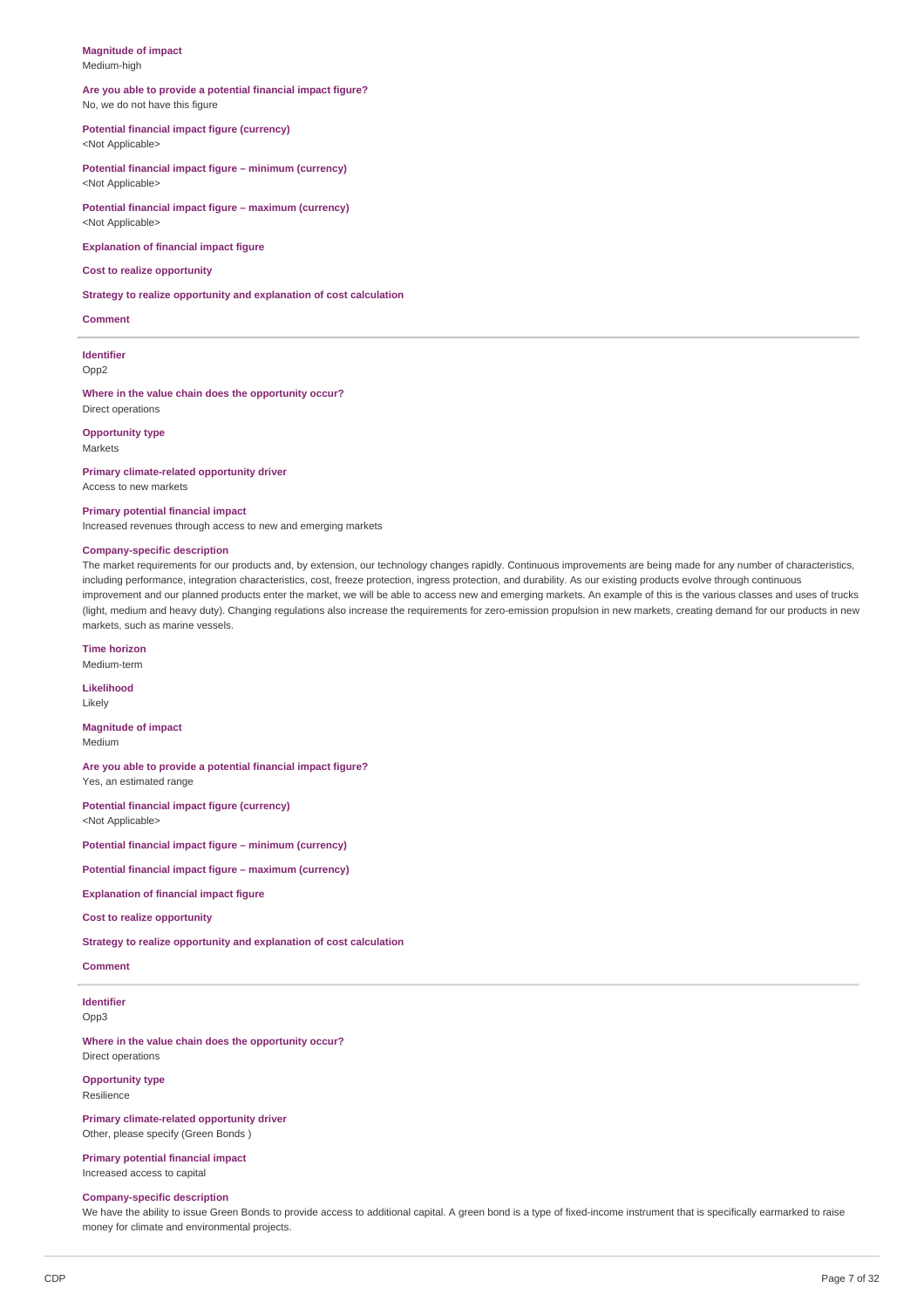#### **Magnitude of impact** Medium-high

#### **Are you able to provide a potential financial impact figure?** No, we do not have this figure

### **Potential financial impact figure (currency)**

<Not Applicable>

**Potential financial impact figure – minimum (currency)** <Not Applicable>

**Potential financial impact figure – maximum (currency)** <Not Applicable>

**Explanation of financial impact figure**

### **Cost to realize opportunity**

**Strategy to realize opportunity and explanation of cost calculation**

#### **Comment**

**Identifier** Opp2

**Where in the value chain does the opportunity occur?**

Direct operations

**Opportunity type** Markets

**Primary climate-related opportunity driver** Access to new markets

#### **Primary potential financial impact**

Increased revenues through access to new and emerging markets

#### **Company-specific description**

The market requirements for our products and, by extension, our technology changes rapidly. Continuous improvements are being made for any number of characteristics, including performance, integration characteristics, cost, freeze protection, ingress protection, and durability. As our existing products evolve through continuous improvement and our planned products enter the market, we will be able to access new and emerging markets. An example of this is the various classes and uses of trucks (light, medium and heavy duty). Changing regulations also increase the requirements for zero-emission propulsion in new markets, creating demand for our products in new markets, such as marine vessels.

### **Time horizon**

Medium-term

**Likelihood** Likely

**Magnitude of impact**

Medium

**Are you able to provide a potential financial impact figure?** Yes, an estimated range

**Potential financial impact figure (currency)** <Not Applicable>

**Potential financial impact figure – minimum (currency)**

**Potential financial impact figure – maximum (currency)**

**Explanation of financial impact figure**

**Cost to realize opportunity**

**Strategy to realize opportunity and explanation of cost calculation**

**Comment**

**Identifier** Opp3

**Where in the value chain does the opportunity occur?** Direct operations

**Opportunity type**

Resilience

**Primary climate-related opportunity driver** Other, please specify (Green Bonds )

**Primary potential financial impact** Increased access to capital

#### **Company-specific description**

We have the ability to issue Green Bonds to provide access to additional capital. A green bond is a type of fixed-income instrument that is specifically earmarked to raise money for climate and environmental projects.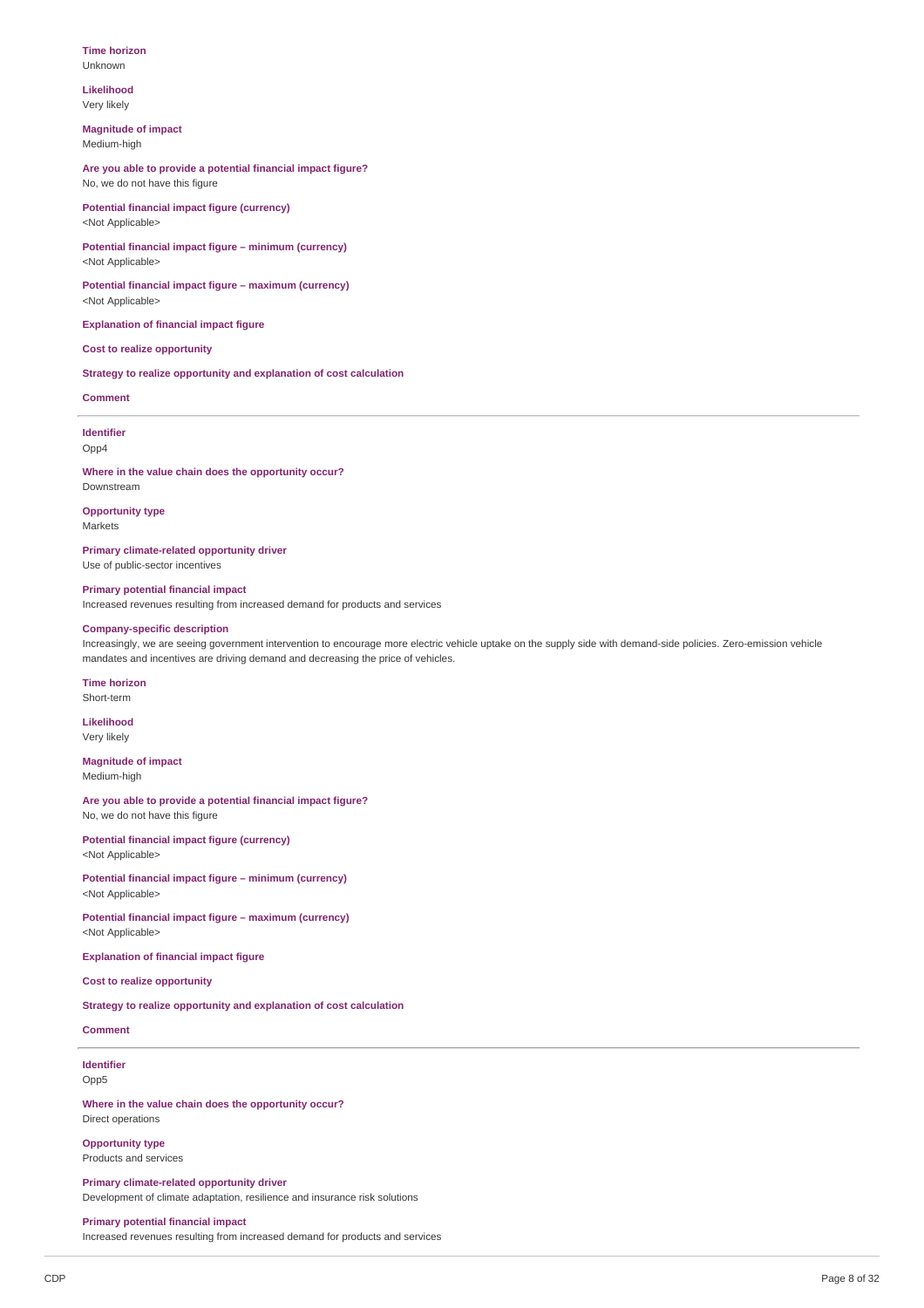#### **Time horizon** Unknown

### **Likelihood** Very likely

**Magnitude of impact** Medium-high

**Are you able to provide a potential financial impact figure?** No, we do not have this figure

**Potential financial impact figure (currency)** <Not Applicable>

**Potential financial impact figure – minimum (currency)** <Not Applicable>

**Potential financial impact figure – maximum (currency)** <Not Applicable>

**Explanation of financial impact figure**

# **Cost to realize opportunity**

**Strategy to realize opportunity and explanation of cost calculation**

### **Comment**

**Identifier** Opp4

**Where in the value chain does the opportunity occur?** Downstream

**Opportunity type**

Markets

**Primary climate-related opportunity driver** Use of public-sector incentives

**Primary potential financial impact**

Increased revenues resulting from increased demand for products and services

### **Company-specific description**

Increasingly, we are seeing government intervention to encourage more electric vehicle uptake on the supply side with demand-side policies. Zero-emission vehicle mandates and incentives are driving demand and decreasing the price of vehicles.

#### **Time horizon** Short-term

**Likelihood** Very likely

**Magnitude of impact**

Medium-high

**Are you able to provide a potential financial impact figure?** No, we do not have this figure

**Potential financial impact figure (currency)** <Not Applicable>

**Potential financial impact figure – minimum (currency)** <Not Applicable>

**Potential financial impact figure – maximum (currency)** <Not Applicable>

**Explanation of financial impact figure**

**Cost to realize opportunity**

**Strategy to realize opportunity and explanation of cost calculation**

## **Comment**

**Identifier** Opp5

**Where in the value chain does the opportunity occur?** Direct operations

**Opportunity type** Products and services

**Primary climate-related opportunity driver** Development of climate adaptation, resilience and insurance risk solutions

#### **Primary potential financial impact**

Increased revenues resulting from increased demand for products and services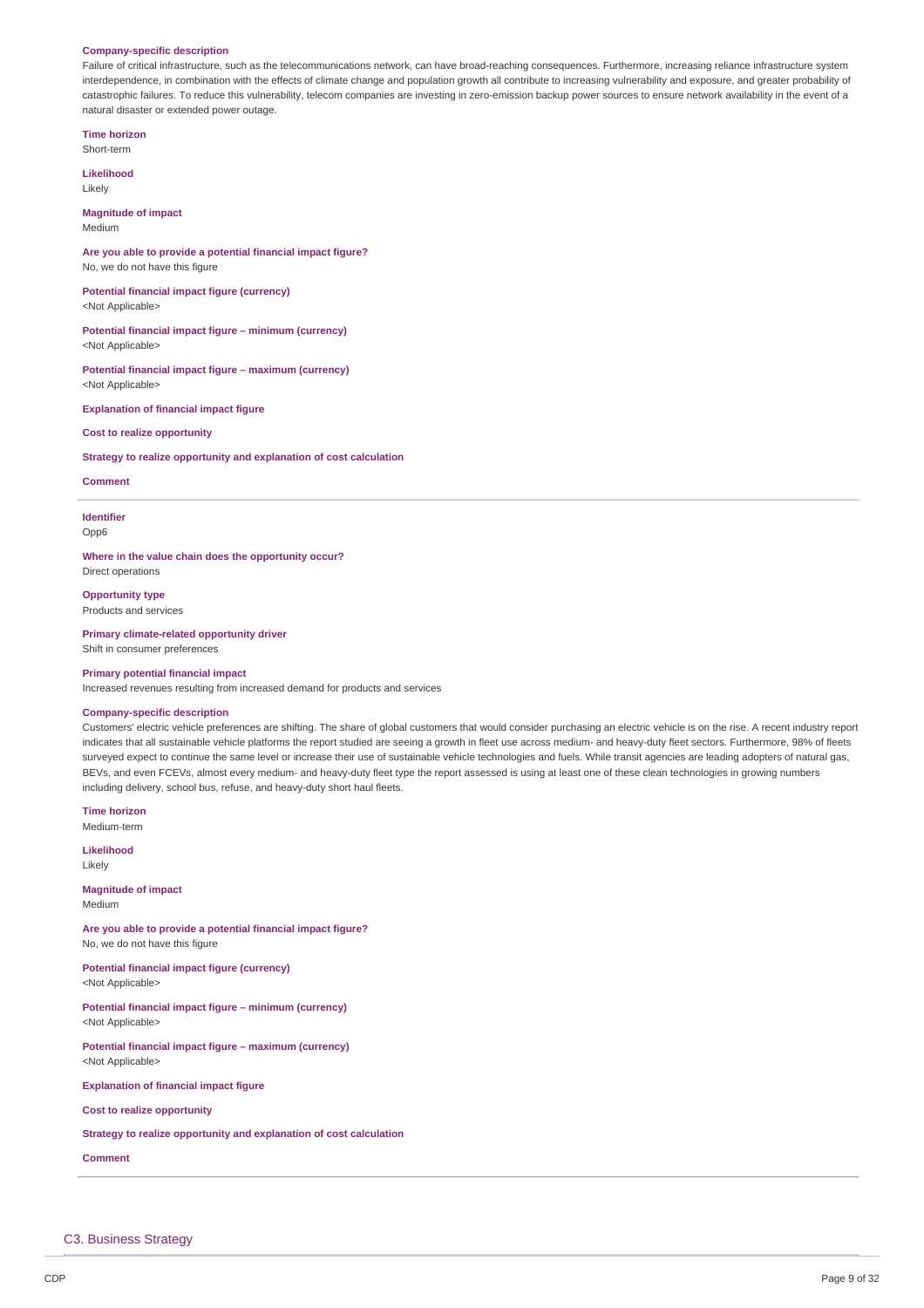#### **Company-specific description**

Failure of critical infrastructure, such as the telecommunications network, can have broad-reaching consequences. Furthermore, increasing reliance infrastructure system interdependence, in combination with the effects of climate change and population growth all contribute to increasing vulnerability and exposure, and greater probability of catastrophic failures. To reduce this vulnerability, telecom companies are investing in zero-emission backup power sources to ensure network availability in the event of a natural disaster or extended power outage.

**Time horizon** Short-term

**Likelihood** Likely

**Magnitude of impact** Medium

**Are you able to provide a potential financial impact figure?** No, we do not have this figure

**Potential financial impact figure (currency)** <Not Applicable>

**Potential financial impact figure – minimum (currency)** <Not Applicable>

**Potential financial impact figure – maximum (currency)** <Not Applicable>

**Explanation of financial impact figure**

**Cost to realize opportunity**

**Strategy to realize opportunity and explanation of cost calculation**

**Comment**

**Identifier** Opp6

**Where in the value chain does the opportunity occur?** Direct operations

**Opportunity type** Products and services

**Primary climate-related opportunity driver** Shift in consumer preferences

#### **Primary potential financial impact**

Increased revenues resulting from increased demand for products and services

### **Company-specific description**

Customers' electric vehicle preferences are shifting. The share of global customers that would consider purchasing an electric vehicle is on the rise. A recent industry report indicates that all sustainable vehicle platforms the report studied are seeing a growth in fleet use across medium- and heavy-duty fleet sectors. Furthermore, 98% of fleets surveyed expect to continue the same level or increase their use of sustainable vehicle technologies and fuels. While transit agencies are leading adopters of natural gas, BEVs, and even FCEVs, almost every medium- and heavy-duty fleet type the report assessed is using at least one of these clean technologies in growing numbers including delivery, school bus, refuse, and heavy-duty short haul fleets.

**Time horizon** Medium-term

**Likelihood** Likely

**Magnitude of impact** Medium

**Are you able to provide a potential financial impact figure?** No, we do not have this figure

**Potential financial impact figure (currency)** <Not Applicable>

**Potential financial impact figure – minimum (currency)** <Not Applicable>

**Potential financial impact figure – maximum (currency)** <Not Applicable>

**Explanation of financial impact figure**

**Cost to realize opportunity**

**Strategy to realize opportunity and explanation of cost calculation**

**Comment**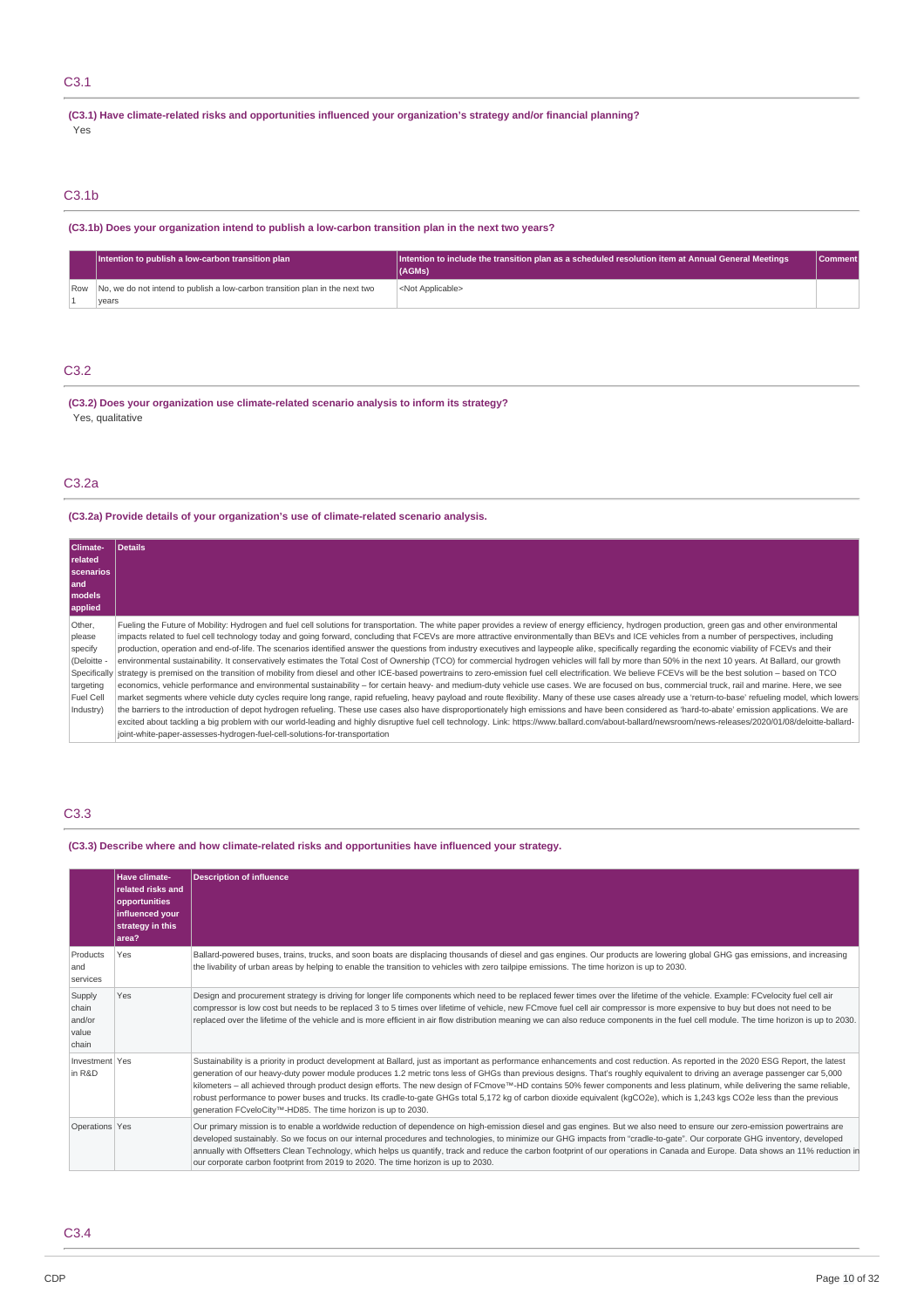# C3.1

**(C3.1) Have climate-related risks and opportunities influenced your organization's strategy and/or financial planning?** Yes

# C3.1b

# **(C3.1b) Does your organization intend to publish a low-carbon transition plan in the next two years?**

| Intention to publish a low-carbon transition plan                                         | $\vert$  Intention to include the transition plan as a scheduled resolution item at Annual General Meetings $\vert$<br>(AGMs) | Comment |
|-------------------------------------------------------------------------------------------|-------------------------------------------------------------------------------------------------------------------------------|---------|
| Row No, we do not intend to publish a low-carbon transition plan in the next two<br>vears | <not applicable=""></not>                                                                                                     |         |

# C3.2

**(C3.2) Does your organization use climate-related scenario analysis to inform its strategy?** Yes, qualitative

# C3.2a

# **(C3.2a) Provide details of your organization's use of climate-related scenario analysis.**

| <b>Climate-</b> | <b>Details</b>                                                                                                                                                                                           |
|-----------------|----------------------------------------------------------------------------------------------------------------------------------------------------------------------------------------------------------|
| related         |                                                                                                                                                                                                          |
| scenarios       |                                                                                                                                                                                                          |
| land            |                                                                                                                                                                                                          |
| <b>I</b> models |                                                                                                                                                                                                          |
| applied         |                                                                                                                                                                                                          |
| Other,          | Fueling the Future of Mobility: Hydrogen and fuel cell solutions for transportation. The white paper provides a review of energy efficiency, hydrogen production, green gas and other environmental      |
| please          | impacts related to fuel cell technology today and going forward, concluding that FCEVs are more attractive environmentally than BEVs and ICE vehicles from a number of perspectives, including           |
| specify         | production, operation and end-of-life. The scenarios identified answer the questions from industry executives and laypeople alike, specifically regarding the economic viability of FCEVs and their      |
| (Deloitte -     | environmental sustainability. It conservatively estimates the Total Cost of Ownership (TCO) for commercial hydrogen vehicles will fall by more than 50% in the next 10 years. At Ballard, our growth     |
| Specifically    | strategy is premised on the transition of mobility from diesel and other ICE-based powertrains to zero-emission fuel cell electrification. We believe FCEVs will be the best solution – based on TCO     |
| targeting       | economics, vehicle performance and environmental sustainability - for certain heavy- and medium-duty vehicle use cases. We are focused on bus, commercial truck, rail and marine. Here, we see           |
| Fuel Cell       | market segments where vehicle duty cycles require long range, rapid refueling, heavy payload and route flexibility. Many of these use cases already use a 'return-to-base' refueling model, which lowers |
| Industry)       | the barriers to the introduction of depot hydrogen refueling. These use cases also have disproportionately high emissions and have been considered as 'hard-to-abate' emission applications. We are      |
|                 | excited about tackling a big problem with our world-leading and highly disruptive fuel cell technology. Link: https://www.ballard.com/about-ballard/newsroom/news-releases/2020/01/08/deloitte-ballard-  |
|                 | joint-white-paper-assesses-hydrogen-fuel-cell-solutions-for-transportation                                                                                                                               |

# C3.3

**(C3.3) Describe where and how climate-related risks and opportunities have influenced your strategy.**

|                                             | Have climate-<br>related risks and<br>opportunities<br>influenced your<br>strategy in this<br>area? | <b>Description of influence</b>                                                                                                                                                                                                                                                                                                                                                                                                                                                                                                                                                                                                                                                                                                                                                                          |
|---------------------------------------------|-----------------------------------------------------------------------------------------------------|----------------------------------------------------------------------------------------------------------------------------------------------------------------------------------------------------------------------------------------------------------------------------------------------------------------------------------------------------------------------------------------------------------------------------------------------------------------------------------------------------------------------------------------------------------------------------------------------------------------------------------------------------------------------------------------------------------------------------------------------------------------------------------------------------------|
| Products<br>and<br>services                 | Yes                                                                                                 | Ballard-powered buses, trains, trucks, and soon boats are displacing thousands of diesel and gas engines. Our products are lowering global GHG gas emissions, and increasing<br>the livability of urban areas by helping to enable the transition to vehicles with zero tailpipe emissions. The time horizon is up to 2030.                                                                                                                                                                                                                                                                                                                                                                                                                                                                              |
| Supply<br>chain<br>and/or<br>value<br>chain | Yes                                                                                                 | Design and procurement strategy is driving for longer life components which need to be replaced fewer times over the lifetime of the vehicle. Example: FCvelocity fuel cell air<br>compressor is low cost but needs to be replaced 3 to 5 times over lifetime of vehicle, new FCmove fuel cell air compressor is more expensive to buy but does not need to be<br>replaced over the lifetime of the vehicle and is more efficient in air flow distribution meaning we can also reduce components in the fuel cell module. The time horizon is up to 2030.                                                                                                                                                                                                                                                |
| Investment Yes<br>in R&D                    |                                                                                                     | Sustainability is a priority in product development at Ballard, just as important as performance enhancements and cost reduction. As reported in the 2020 ESG Report, the latest<br>generation of our heavy-duty power module produces 1.2 metric tons less of GHGs than previous designs. That's roughly equivalent to driving an average passenger car 5,000<br>kilometers - all achieved through product design efforts. The new design of FCmove <sup>™</sup> -HD contains 50% fewer components and less platinum, while delivering the same reliable,<br>robust performance to power buses and trucks. Its cradle-to-gate GHGs total 5,172 kg of carbon dioxide equivalent (kgCO2e), which is 1,243 kgs CO2e less than the previous<br>generation FCveloCity™-HD85. The time horizon is up to 2030. |
| Operations Yes                              |                                                                                                     | Our primary mission is to enable a worldwide reduction of dependence on high-emission diesel and gas engines. But we also need to ensure our zero-emission powertrains are<br>developed sustainably. So we focus on our internal procedures and technologies, to minimize our GHG impacts from "cradle-to-gate". Our corporate GHG inventory, developed<br>annually with Offsetters Clean Technology, which helps us quantify, track and reduce the carbon footprint of our operations in Canada and Europe. Data shows an 11% reduction in<br>our corporate carbon footprint from 2019 to 2020. The time horizon is up to 2030.                                                                                                                                                                         |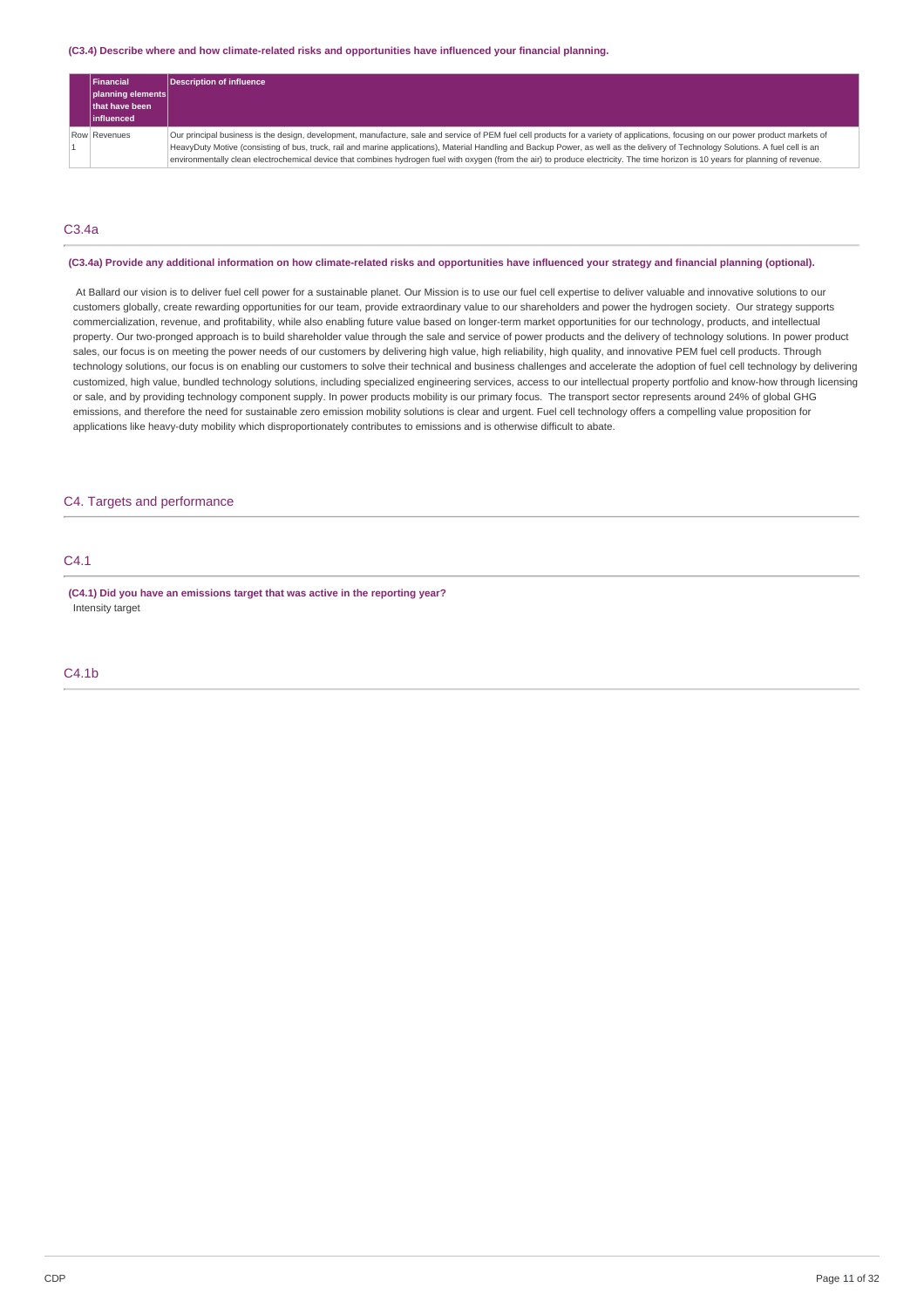#### **(C3.4) Describe where and how climate-related risks and opportunities have influenced your financial planning.**

|                   | Financial      | Description of influence                                                                                                                                                           |
|-------------------|----------------|------------------------------------------------------------------------------------------------------------------------------------------------------------------------------------|
| planning elements |                |                                                                                                                                                                                    |
|                   | that have been |                                                                                                                                                                                    |
|                   | linfluenced    |                                                                                                                                                                                    |
|                   | Row Revenues   | Our principal business is the design, development, manufacture, sale and service of PEM fuel cell products for a variety of applications, focusing on our power product markets of |
|                   |                | HeavyDuty Motive (consisting of bus, truck, rail and marine applications), Material Handling and Backup Power, as well as the delivery of Technology Solutions. A fuel cell is an  |
|                   |                | environmentally clean electrochemical device that combines hydrogen fuel with oxygen (from the air) to produce electricity. The time horizon is 10 years for planning of revenue.  |

# C3.4a

#### (C3.4a) Provide any additional information on how climate-related risks and opportunities have influenced your strategy and financial planning (optional).

At Ballard our vision is to deliver fuel cell power for a sustainable planet. Our Mission is to use our fuel cell expertise to deliver valuable and innovative solutions to our customers globally, create rewarding opportunities for our team, provide extraordinary value to our shareholders and power the hydrogen society. Our strategy supports commercialization, revenue, and profitability, while also enabling future value based on longer-term market opportunities for our technology, products, and intellectual property. Our two-pronged approach is to build shareholder value through the sale and service of power products and the delivery of technology solutions. In power product sales, our focus is on meeting the power needs of our customers by delivering high value, high reliability, high quality, and innovative PEM fuel cell products. Through technology solutions, our focus is on enabling our customers to solve their technical and business challenges and accelerate the adoption of fuel cell technology by delivering customized, high value, bundled technology solutions, including specialized engineering services, access to our intellectual property portfolio and know-how through licensing or sale, and by providing technology component supply. In power products mobility is our primary focus. The transport sector represents around 24% of global GHG emissions, and therefore the need for sustainable zero emission mobility solutions is clear and urgent. Fuel cell technology offers a compelling value proposition for applications like heavy-duty mobility which disproportionately contributes to emissions and is otherwise difficult to abate.

# C4. Targets and performance

### C4.1

**(C4.1) Did you have an emissions target that was active in the reporting year?** Intensity target

# C4.1b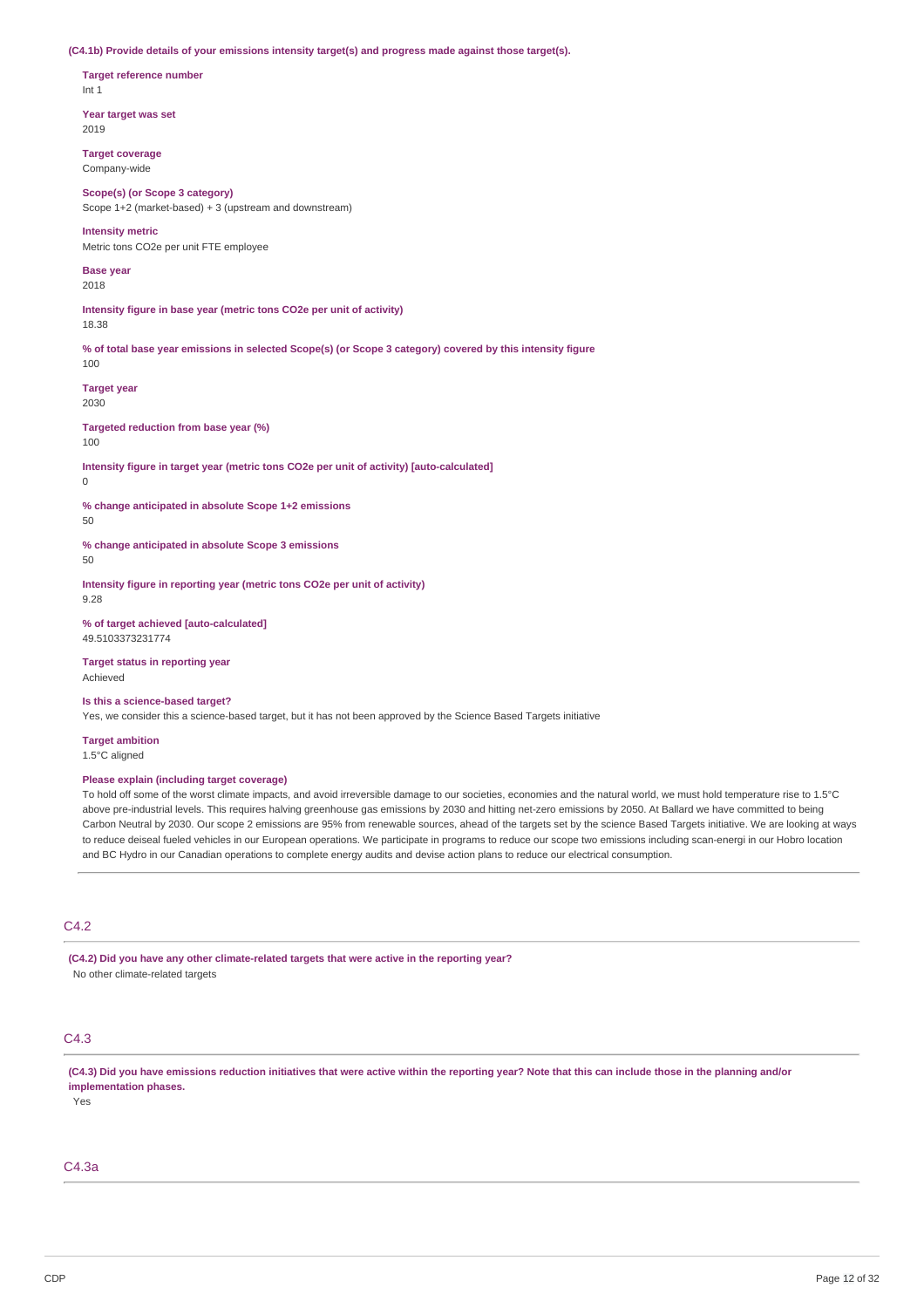#### **(C4.1b) Provide details of your emissions intensity target(s) and progress made against those target(s).**

**Target reference number** Int 1

**Year target was set** 2019

**Target coverage** Company-wide

**Scope(s) (or Scope 3 category)** Scope 1+2 (market-based) + 3 (upstream and downstream)

**Intensity metric**

Metric tons CO2e per unit FTE employee

**Base year** 2018

**Intensity figure in base year (metric tons CO2e per unit of activity)** 18.38

% of total base year emissions in selected Scope(s) (or Scope 3 category) covered by this intensity figure 100

**Target year** 2030

**Targeted reduction from base year (%)**

 $100$ 

**Intensity figure in target year (metric tons CO2e per unit of activity) [auto-calculated]**

0

**% change anticipated in absolute Scope 1+2 emissions**

50

**% change anticipated in absolute Scope 3 emissions**

 $50$ 

**Intensity figure in reporting year (metric tons CO2e per unit of activity)** 9.28

**% of target achieved [auto-calculated]** 49.5103373231774

**Target status in reporting year** Achieved

**Is this a science-based target?**

Yes, we consider this a science-based target, but it has not been approved by the Science Based Targets initiative

**Target ambition** 1.5°C aligned

### **Please explain (including target coverage)**

To hold off some of the worst climate impacts, and avoid irreversible damage to our societies, economies and the natural world, we must hold temperature rise to 1.5°C above pre-industrial levels. This requires halving greenhouse gas emissions by 2030 and hitting net-zero emissions by 2050. At Ballard we have committed to being Carbon Neutral by 2030. Our scope 2 emissions are 95% from renewable sources, ahead of the targets set by the science Based Targets initiative. We are looking at ways to reduce deiseal fueled vehicles in our European operations. We participate in programs to reduce our scope two emissions including scan-energi in our Hobro location and BC Hydro in our Canadian operations to complete energy audits and devise action plans to reduce our electrical consumption.

# C4.2

**(C4.2) Did you have any other climate-related targets that were active in the reporting year?** No other climate-related targets

# C4.3

(C4.3) Did you have emissions reduction initiatives that were active within the reporting year? Note that this can include those in the planning and/or **implementation phases.**

Yes

# C4.3a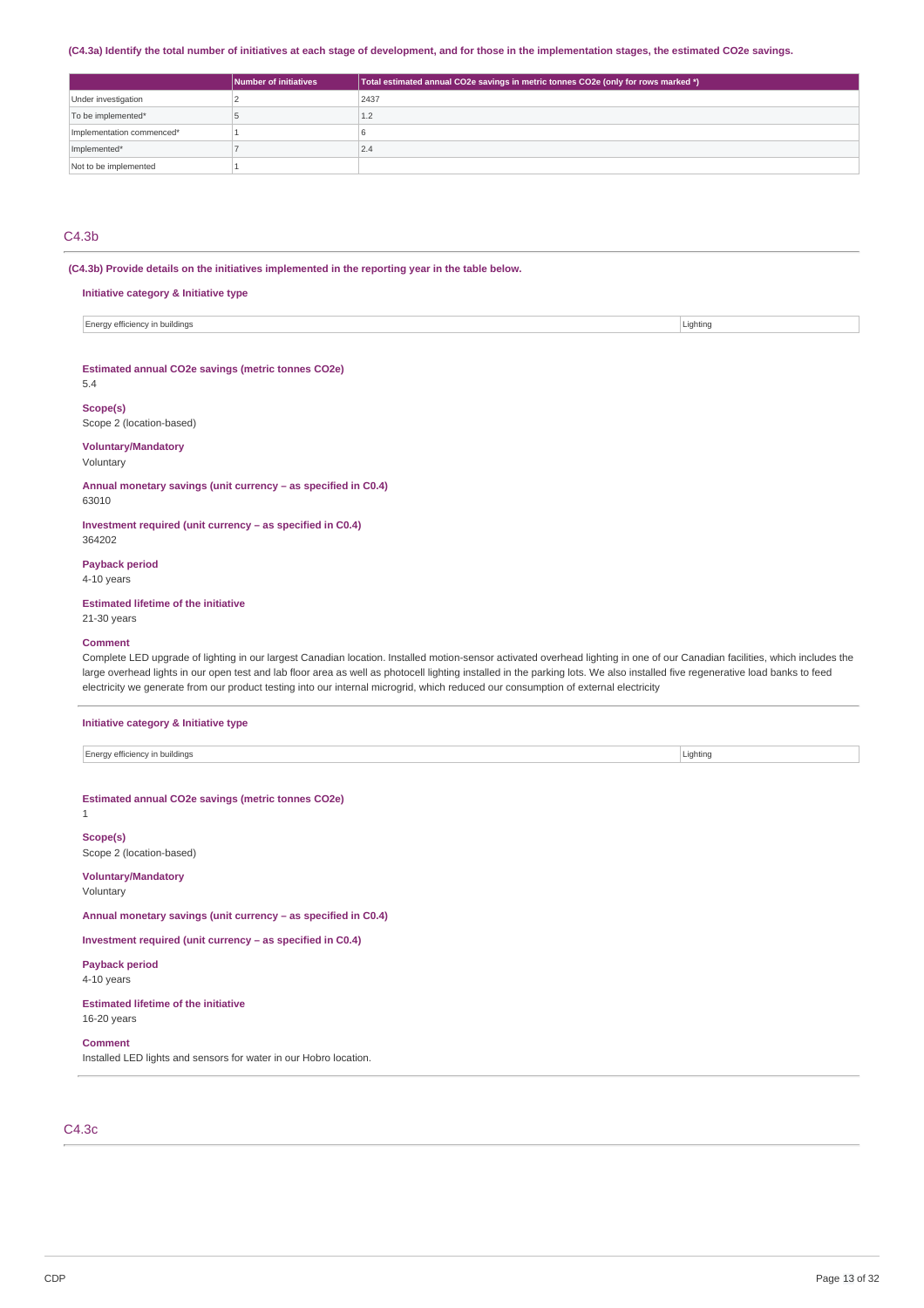### (C4.3a) Identify the total number of initiatives at each stage of development, and for those in the implementation stages, the estimated CO2e savings.

|                           | Number of initiatives | Total estimated annual CO2e savings in metric tonnes CO2e (only for rows marked *) |
|---------------------------|-----------------------|------------------------------------------------------------------------------------|
| Under investigation       |                       | 2437                                                                               |
| To be implemented*        |                       | 1.2                                                                                |
| Implementation commenced* |                       |                                                                                    |
| Implemented*              |                       | 2.4                                                                                |
| Not to be implemented     |                       |                                                                                    |

# C4.3b

#### **(C4.3b) Provide details on the initiatives implemented in the reporting year in the table below.**

**Initiative category & Initiative type**

Energy efficiency in buildings Lighting Contact the Contact of the Lighting Lighting Lighting Lighting Lighting

#### **Estimated annual CO2e savings (metric tonnes CO2e)**

5.4

#### **Scope(s)** Scope 2 (location-based)

# **Voluntary/Mandatory**

Voluntary

**Annual monetary savings (unit currency – as specified in C0.4)** 63010

**Investment required (unit currency – as specified in C0.4)** 364202

#### **Payback period**

4-10 years

## **Estimated lifetime of the initiative**

**Initiative category & Initiative type**

21-30 years

### **Comment**

Complete LED upgrade of lighting in our largest Canadian location. Installed motion-sensor activated overhead lighting in one of our Canadian facilities, which includes the large overhead lights in our open test and lab floor area as well as photocell lighting installed in the parking lots. We also installed five regenerative load banks to feed electricity we generate from our product testing into our internal microgrid, which reduced our consumption of external electricity

| Energy efficiency in buildings                                 | Lighting |  |  |
|----------------------------------------------------------------|----------|--|--|
|                                                                |          |  |  |
| Estimated annual CO2e savings (metric tonnes CO2e)<br>1        |          |  |  |
| Scope(s)<br>Scope 2 (location-based)                           |          |  |  |
| <b>Voluntary/Mandatory</b><br>Voluntary                        |          |  |  |
| Annual monetary savings (unit currency - as specified in C0.4) |          |  |  |
| Investment required (unit currency – as specified in C0.4)     |          |  |  |
| <b>Payback period</b><br>4-10 years                            |          |  |  |
| <b>Estimated lifetime of the initiative</b><br>16-20 years     |          |  |  |

**Comment** Installed LED lights and sensors for water in our Hobro location.

C4.3c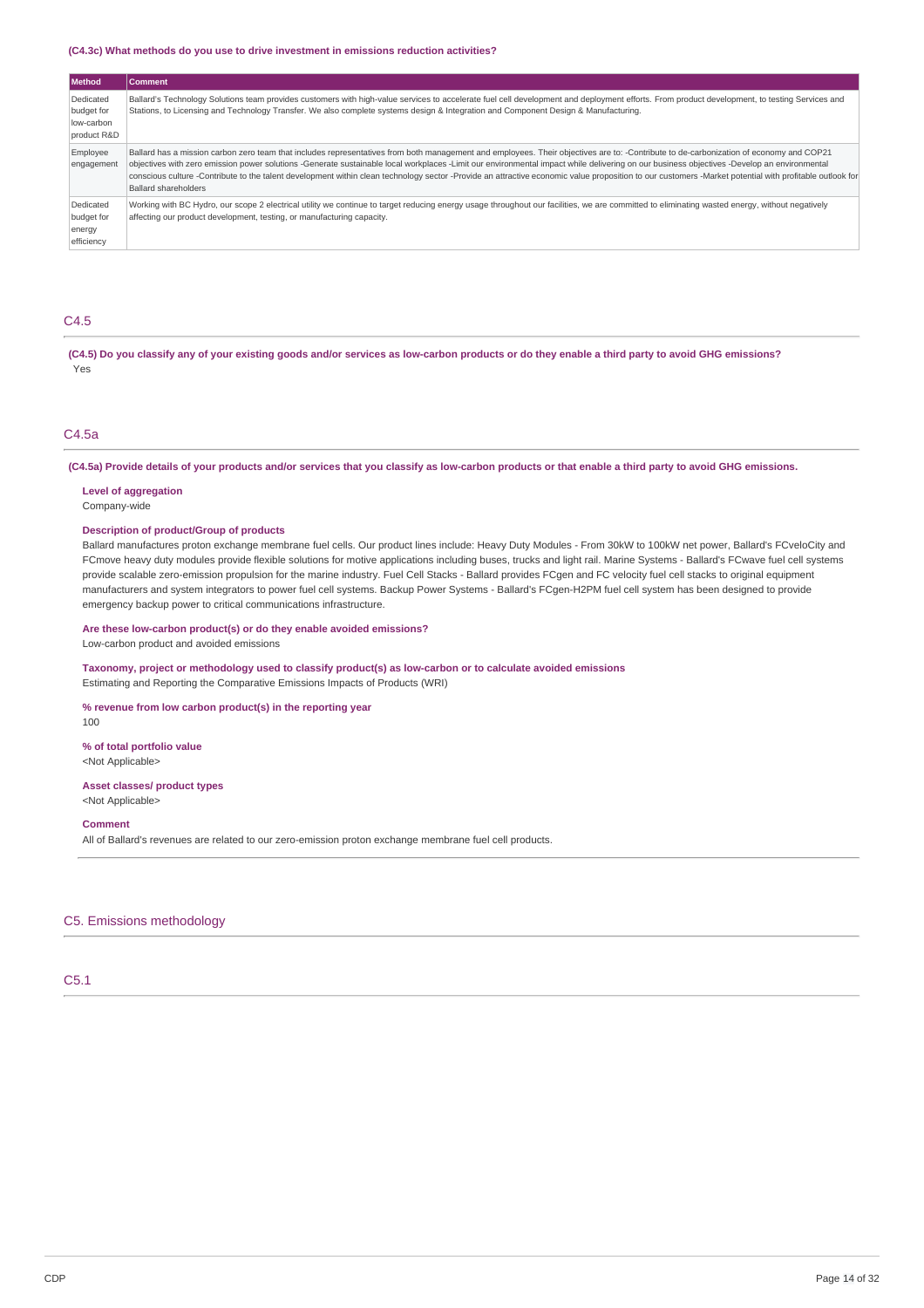#### **(C4.3c) What methods do you use to drive investment in emissions reduction activities?**

| <b>Method</b>                                        | <b>Comment</b>                                                                                                                                                                                                                                                                                                                                                                                                                                                                                                                                                                                                          |
|------------------------------------------------------|-------------------------------------------------------------------------------------------------------------------------------------------------------------------------------------------------------------------------------------------------------------------------------------------------------------------------------------------------------------------------------------------------------------------------------------------------------------------------------------------------------------------------------------------------------------------------------------------------------------------------|
| Dedicated<br>budget for<br>low-carbon<br>product R&D | Ballard's Technology Solutions team provides customers with high-value services to accelerate fuel cell development and deployment efforts. From product development, to testing Services and<br>Stations, to Licensing and Technology Transfer. We also complete systems design & Integration and Component Design & Manufacturing.                                                                                                                                                                                                                                                                                    |
| Employee<br>engagement                               | Ballard has a mission carbon zero team that includes representatives from both management and employees. Their objectives are to: -Contribute to de-carbonization of economy and COP21<br>objectives with zero emission power solutions -Generate sustainable local workplaces -Limit our environmental impact while delivering on our business objectives -Develop an environmental<br>conscious culture -Contribute to the talent development within clean technology sector -Provide an attractive economic value proposition to our customers -Market potential with profitable outlook for<br>Ballard shareholders |
| Dedicated<br>budget for<br>energy<br>efficiency      | Working with BC Hydro, our scope 2 electrical utility we continue to target reducing energy usage throughout our facilities, we are committed to eliminating wasted energy, without negatively<br>affecting our product development, testing, or manufacturing capacity.                                                                                                                                                                                                                                                                                                                                                |

# C4.5

(C4.5) Do you classify any of your existing goods and/or services as low-carbon products or do they enable a third party to avoid GHG emissions? Yes

### C4.5a

(C4.5a) Provide details of your products and/or services that you classify as low-carbon products or that enable a third party to avoid GHG emissions.

#### **Level of aggregation**

Company-wide

#### **Description of product/Group of products**

Ballard manufactures proton exchange membrane fuel cells. Our product lines include: Heavy Duty Modules - From 30kW to 100kW net power, Ballard's FCveloCity and FCmove heavy duty modules provide flexible solutions for motive applications including buses, trucks and light rail. Marine Systems - Ballard's FCwave fuel cell systems provide scalable zero-emission propulsion for the marine industry. Fuel Cell Stacks - Ballard provides FCgen and FC velocity fuel cell stacks to original equipment manufacturers and system integrators to power fuel cell systems. Backup Power Systems - Ballard's FCgen-H2PM fuel cell system has been designed to provide emergency backup power to critical communications infrastructure.

#### **Are these low-carbon product(s) or do they enable avoided emissions?**

Low-carbon product and avoided emissions

### **Taxonomy, project or methodology used to classify product(s) as low-carbon or to calculate avoided emissions** Estimating and Reporting the Comparative Emissions Impacts of Products (WRI)

### **% revenue from low carbon product(s) in the reporting year**

100

### **% of total portfolio value** <Not Applicable>

**Asset classes/ product types** <Not Applicable>

### **Comment**

All of Ballard's revenues are related to our zero-emission proton exchange membrane fuel cell products.

### C5. Emissions methodology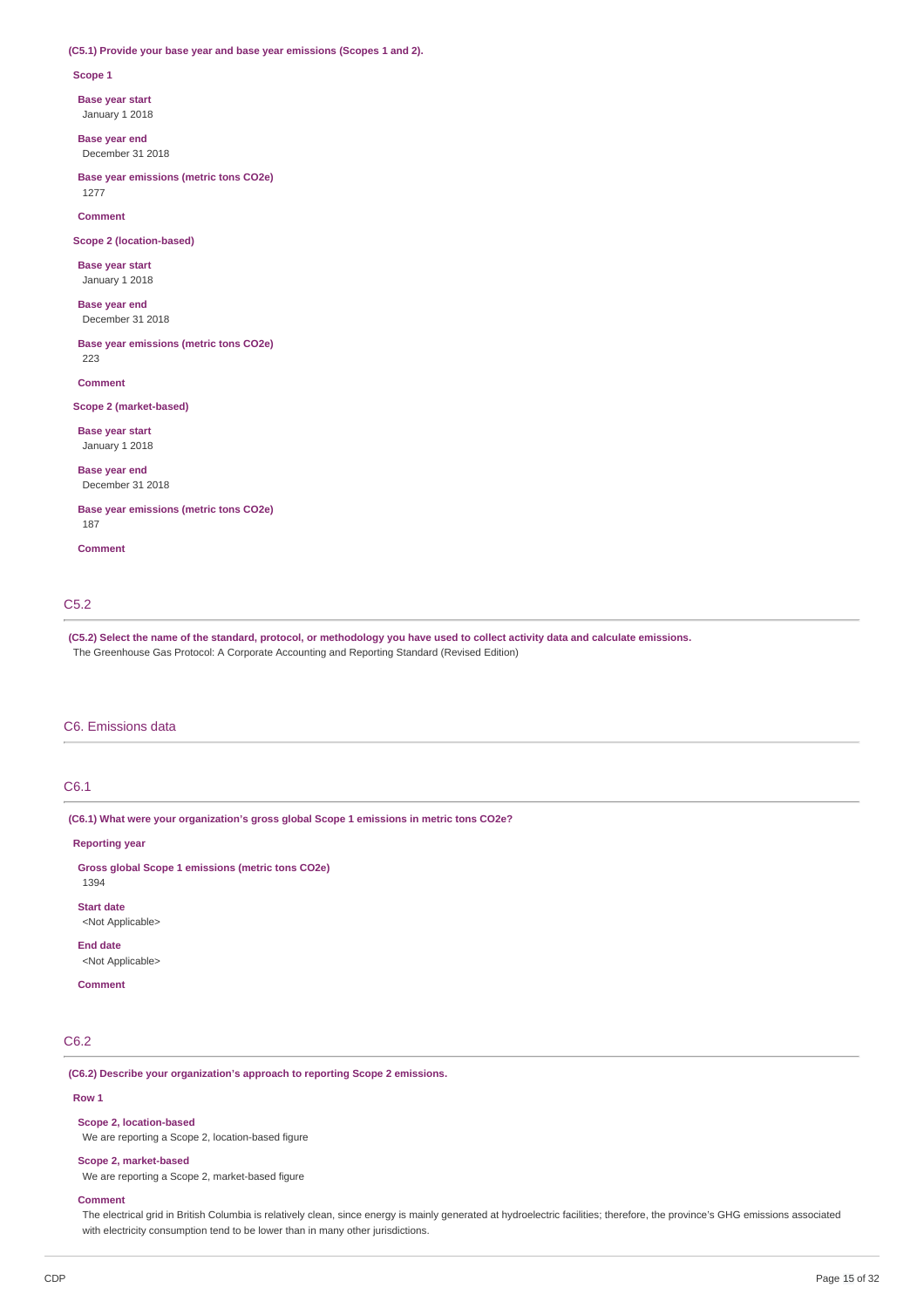#### **(C5.1) Provide your base year and base year emissions (Scopes 1 and 2).**

#### **Scope 1**

**Base year start**

January 1 2018

**Base year end** December 31 2018

**Base year emissions (metric tons CO2e)** 1277

**Comment**

**Scope 2 (location-based)**

**Base year start** January 1 2018

**Base year end** December 31 2018

**Base year emissions (metric tons CO2e)** 223

**Comment**

### **Scope 2 (market-based)**

**Base year start** January 1 2018

**Base year end** December 31 2018

**Base year emissions (metric tons CO2e)** 187

**Comment**

# C5.2

(C5.2) Select the name of the standard, protocol, or methodology you have used to collect activity data and calculate emissions. The Greenhouse Gas Protocol: A Corporate Accounting and Reporting Standard (Revised Edition)

### C6. Emissions data

### C6.1

**(C6.1) What were your organization's gross global Scope 1 emissions in metric tons CO2e?**

#### **Reporting year**

1394

**Gross global Scope 1 emissions (metric tons CO2e)**

**Start date** <Not Applicable>

**End date** <Not Applicable>

#### **Comment**

C6.2

**(C6.2) Describe your organization's approach to reporting Scope 2 emissions.**

#### **Row 1**

**Scope 2, location-based**

We are reporting a Scope 2, location-based figure

#### **Scope 2, market-based**

We are reporting a Scope 2, market-based figure

#### **Comment**

The electrical grid in British Columbia is relatively clean, since energy is mainly generated at hydroelectric facilities; therefore, the province's GHG emissions associated with electricity consumption tend to be lower than in many other jurisdictions.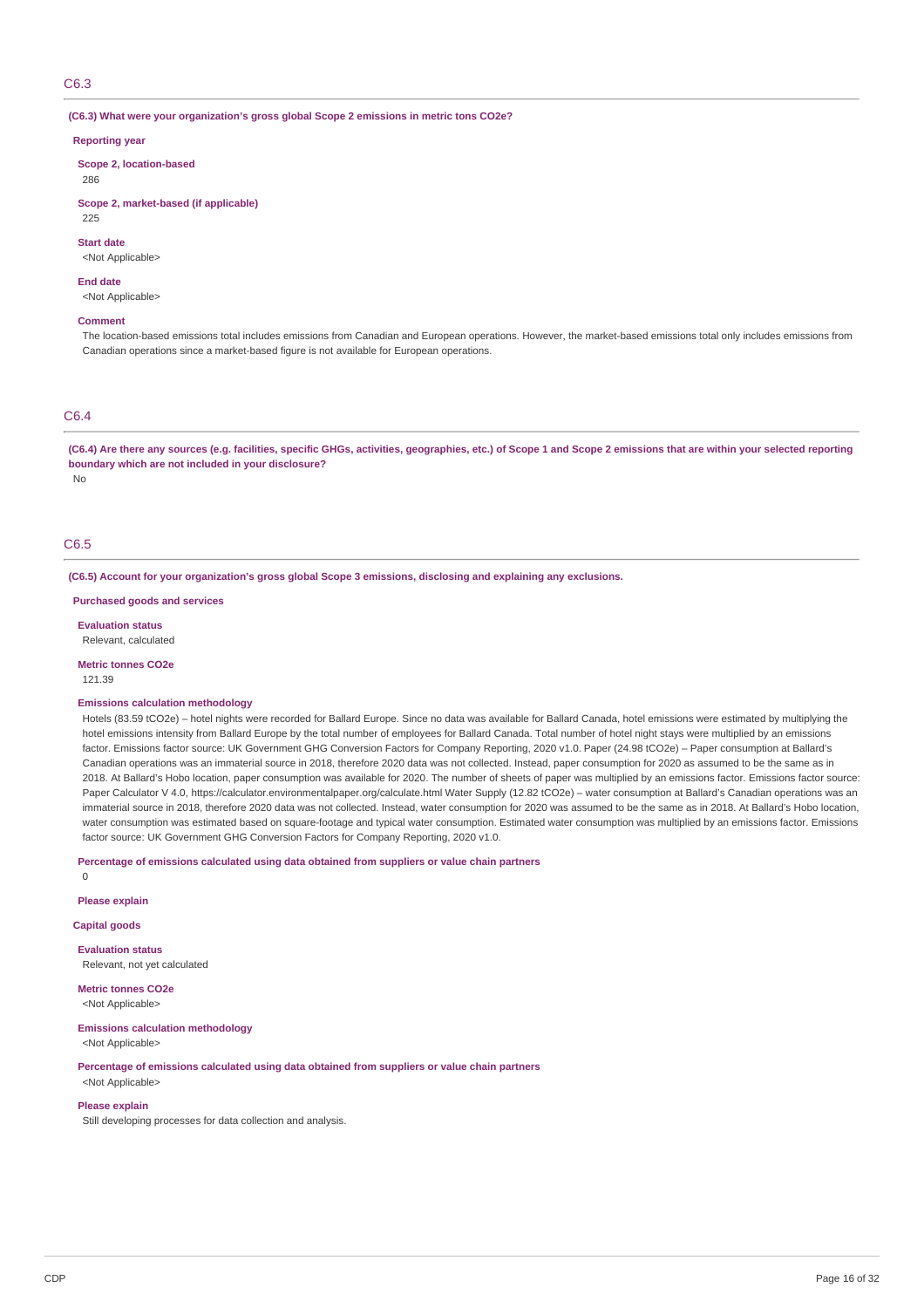#### C6.3

#### **(C6.3) What were your organization's gross global Scope 2 emissions in metric tons CO2e?**

#### **Reporting year**

**Scope 2, location-based** 286

**Scope 2, market-based (if applicable)** 225

# **Start date**

<Not Applicable>

#### **End date**

<Not Applicable>

#### **Comment**

The location-based emissions total includes emissions from Canadian and European operations. However, the market-based emissions total only includes emissions from Canadian operations since a market-based figure is not available for European operations.

# C6.4

(C6.4) Are there any sources (e.g. facilities, specific GHGs, activities, geographies, etc.) of Scope 1 and Scope 2 emissions that are within your selected reporting **boundary which are not included in your disclosure?**

No

# C6.5

**(C6.5) Account for your organization's gross global Scope 3 emissions, disclosing and explaining any exclusions.**

**Purchased goods and services**

**Evaluation status** Relevant, calculated

**Metric tonnes CO2e**

# 121.39

### **Emissions calculation methodology**

Hotels (83.59 tCO2e) – hotel nights were recorded for Ballard Europe. Since no data was available for Ballard Canada, hotel emissions were estimated by multiplying the hotel emissions intensity from Ballard Europe by the total number of employees for Ballard Canada. Total number of hotel night stays were multiplied by an emissions factor. Emissions factor source: UK Government GHG Conversion Factors for Company Reporting, 2020 v1.0. Paper (24.98 tCO2e) – Paper consumption at Ballard's Canadian operations was an immaterial source in 2018, therefore 2020 data was not collected. Instead, paper consumption for 2020 as assumed to be the same as in 2018. At Ballard's Hobo location, paper consumption was available for 2020. The number of sheets of paper was multiplied by an emissions factor. Emissions factor source: Paper Calculator V 4.0, https://calculator.environmentalpaper.org/calculate.html Water Supply (12.82 tCO2e) – water consumption at Ballard's Canadian operations was an immaterial source in 2018, therefore 2020 data was not collected. Instead, water consumption for 2020 was assumed to be the same as in 2018. At Ballard's Hobo location, water consumption was estimated based on square-footage and typical water consumption. Estimated water consumption was multiplied by an emissions factor. Emissions factor source: UK Government GHG Conversion Factors for Company Reporting, 2020 v1.0.

#### **Percentage of emissions calculated using data obtained from suppliers or value chain partners**

 $\overline{0}$ 

#### **Please explain**

**Capital goods**

**Evaluation status** Relevant, not yet calculated

**Metric tonnes CO2e** <Not Applicable>

#### **Emissions calculation methodology**

<Not Applicable>

**Percentage of emissions calculated using data obtained from suppliers or value chain partners** <Not Applicable>

#### **Please explain**

Still developing processes for data collection and analysis.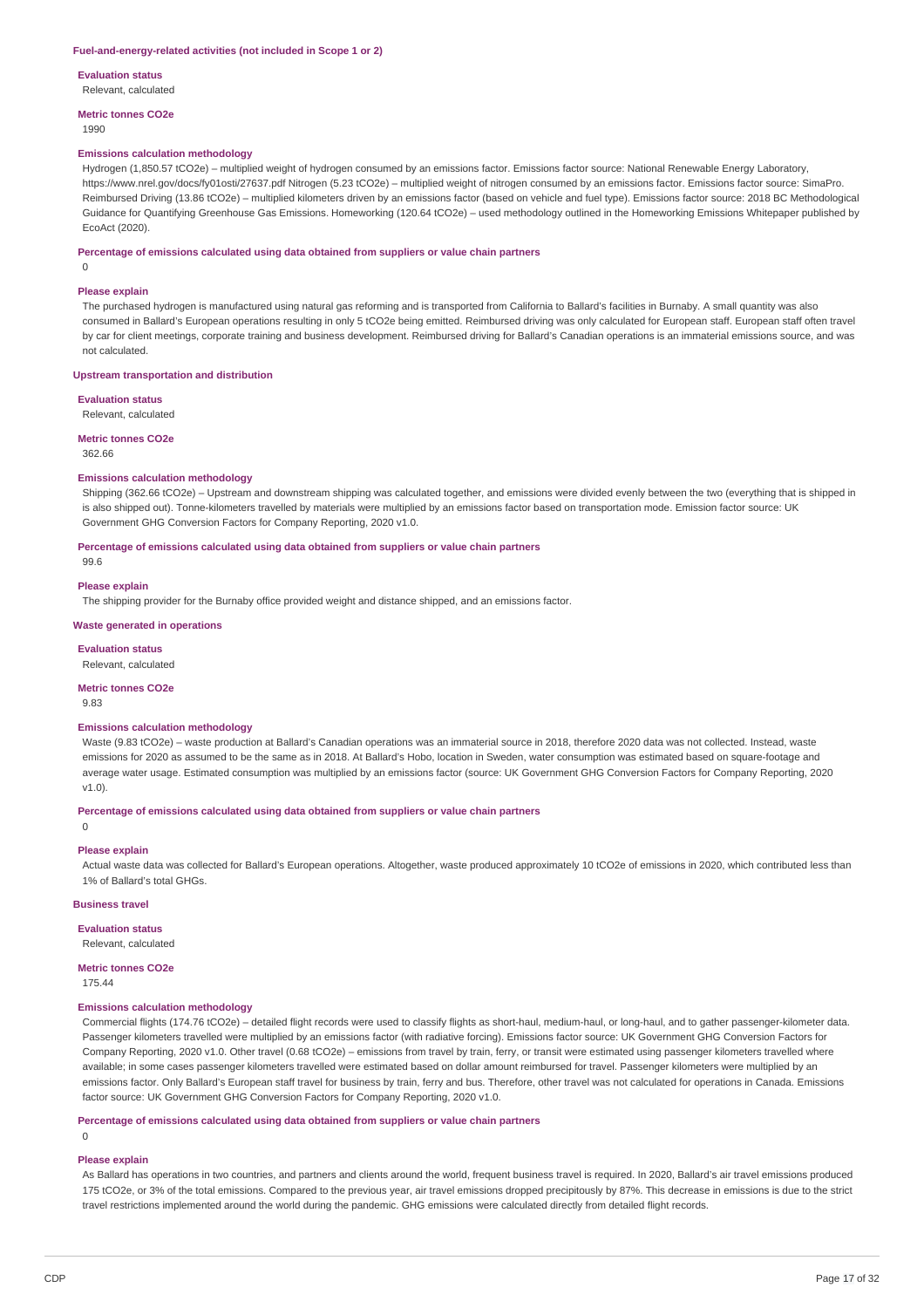#### **Fuel-and-energy-related activities (not included in Scope 1 or 2)**

**Evaluation status**

Relevant, calculated

**Metric tonnes CO2e**

1990

#### **Emissions calculation methodology**

Hydrogen (1,850.57 tCO2e) – multiplied weight of hydrogen consumed by an emissions factor. Emissions factor source: National Renewable Energy Laboratory, https://www.nrel.gov/docs/fy01osti/27637.pdf Nitrogen (5.23 tCO2e) – multiplied weight of nitrogen consumed by an emissions factor. Emissions factor source: SimaPro. Reimbursed Driving (13.86 tCO2e) – multiplied kilometers driven by an emissions factor (based on vehicle and fuel type). Emissions factor source: 2018 BC Methodological Guidance for Quantifying Greenhouse Gas Emissions. Homeworking (120.64 tCO2e) – used methodology outlined in the Homeworking Emissions Whitepaper published by EcoAct (2020).

**Percentage of emissions calculated using data obtained from suppliers or value chain partners**

## 0

#### **Please explain**

The purchased hydrogen is manufactured using natural gas reforming and is transported from California to Ballard's facilities in Burnaby. A small quantity was also consumed in Ballard's European operations resulting in only 5 tCO2e being emitted. Reimbursed driving was only calculated for European staff. European staff often travel by car for client meetings, corporate training and business development. Reimbursed driving for Ballard's Canadian operations is an immaterial emissions source, and was not calculated.

#### **Upstream transportation and distribution**

#### **Evaluation status**

Relevant, calculated

#### **Metric tonnes CO2e**

362.66

#### **Emissions calculation methodology**

Shipping (362.66 tCO2e) – Upstream and downstream shipping was calculated together, and emissions were divided evenly between the two (everything that is shipped in is also shipped out). Tonne-kilometers travelled by materials were multiplied by an emissions factor based on transportation mode. Emission factor source: UK Government GHG Conversion Factors for Company Reporting, 2020 v1.0.

**Percentage of emissions calculated using data obtained from suppliers or value chain partners**

# **Please explain**

99.6

The shipping provider for the Burnaby office provided weight and distance shipped, and an emissions factor.

#### **Waste generated in operations**

**Evaluation status** Relevant, calculated

# **Metric tonnes CO2e**

9.83

### **Emissions calculation methodology**

Waste (9.83 tCO2e) – waste production at Ballard's Canadian operations was an immaterial source in 2018, therefore 2020 data was not collected. Instead, waste emissions for 2020 as assumed to be the same as in 2018. At Ballard's Hobo, location in Sweden, water consumption was estimated based on square-footage and average water usage. Estimated consumption was multiplied by an emissions factor (source: UK Government GHG Conversion Factors for Company Reporting, 2020 v1.0).

### **Percentage of emissions calculated using data obtained from suppliers or value chain partners**

 $\Omega$ 

### **Please explain**

Actual waste data was collected for Ballard's European operations. Altogether, waste produced approximately 10 tCO2e of emissions in 2020, which contributed less than 1% of Ballard's total GHGs.

#### **Business travel**

### **Evaluation status**

Relevant, calculated

**Metric tonnes CO2e**

175.44

#### **Emissions calculation methodology**

Commercial flights (174.76 tCO2e) – detailed flight records were used to classify flights as short-haul, medium-haul, or long-haul, and to gather passenger-kilometer data. Passenger kilometers travelled were multiplied by an emissions factor (with radiative forcing). Emissions factor source: UK Government GHG Conversion Factors for Company Reporting, 2020 v1.0. Other travel (0.68 tCO2e) – emissions from travel by train, ferry, or transit were estimated using passenger kilometers travelled where available; in some cases passenger kilometers travelled were estimated based on dollar amount reimbursed for travel. Passenger kilometers were multiplied by an emissions factor. Only Ballard's European staff travel for business by train, ferry and bus. Therefore, other travel was not calculated for operations in Canada. Emissions factor source: UK Government GHG Conversion Factors for Company Reporting, 2020 v1.0.

#### **Percentage of emissions calculated using data obtained from suppliers or value chain partners**

 $\Omega$ 

**Please explain**

As Ballard has operations in two countries, and partners and clients around the world, frequent business travel is required. In 2020, Ballard's air travel emissions produced 175 tCO2e, or 3% of the total emissions. Compared to the previous year, air travel emissions dropped precipitously by 87%. This decrease in emissions is due to the strict travel restrictions implemented around the world during the pandemic. GHG emissions were calculated directly from detailed flight records.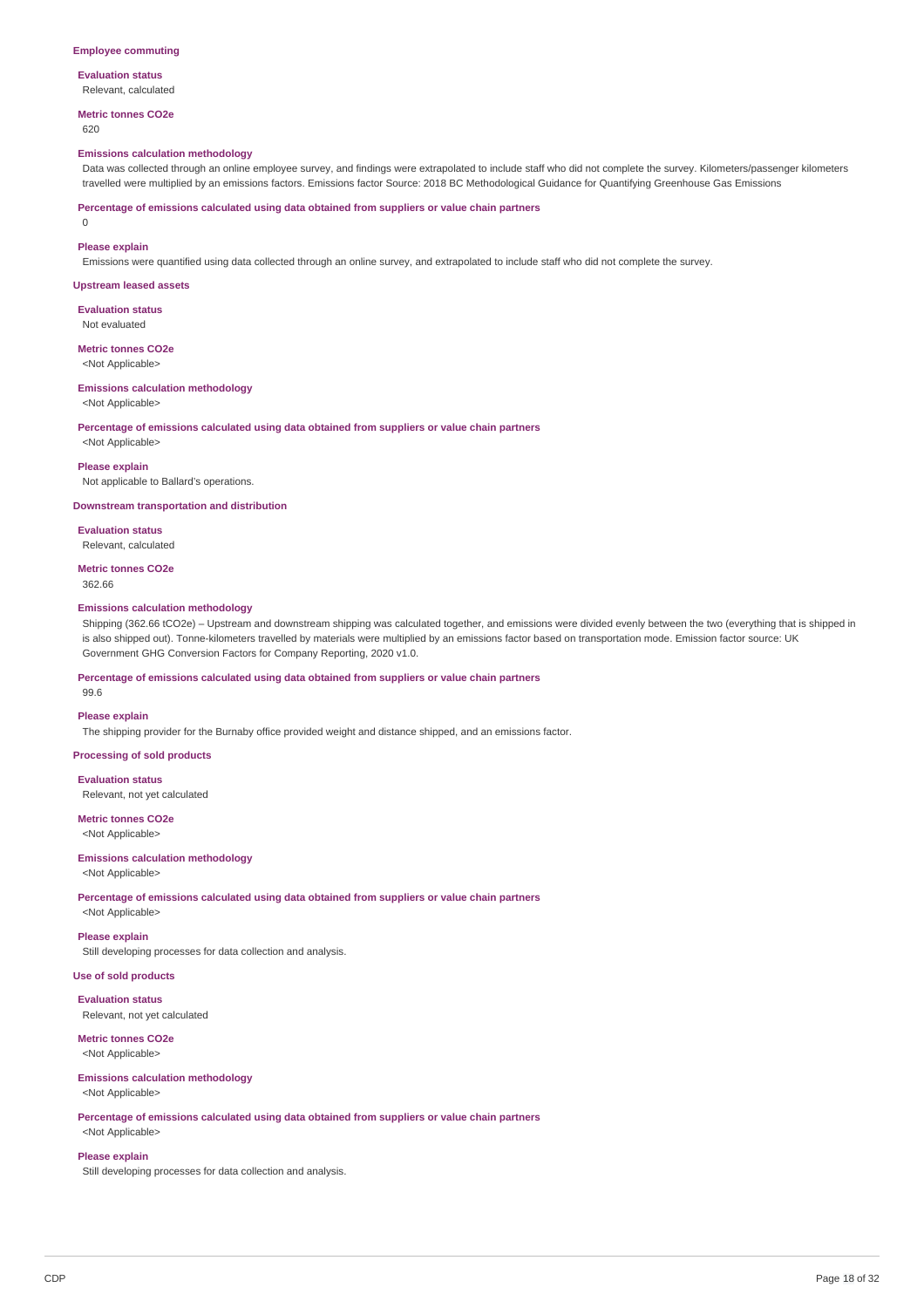#### **Employee commuting**

# **Evaluation status**

Relevant, calculated

# **Metric tonnes CO2e**

620

#### **Emissions calculation methodology**

Data was collected through an online employee survey, and findings were extrapolated to include staff who did not complete the survey. Kilometers/passenger kilometers travelled were multiplied by an emissions factors. Emissions factor Source: 2018 BC Methodological Guidance for Quantifying Greenhouse Gas Emissions

**Percentage of emissions calculated using data obtained from suppliers or value chain partners**

0

#### **Please explain**

Emissions were quantified using data collected through an online survey, and extrapolated to include staff who did not complete the survey.

#### **Upstream leased assets**

**Evaluation status**

#### Not evaluated

**Metric tonnes CO2e** <Not Applicable>

# **Emissions calculation methodology**

<Not Applicable>

**Percentage of emissions calculated using data obtained from suppliers or value chain partners**

<Not Applicable>

#### **Please explain**

Not applicable to Ballard's operations.

**Downstream transportation and distribution**

**Evaluation status** Relevant, calculated

**Metric tonnes CO2e** 362.66

### **Emissions calculation methodology**

Shipping (362.66 tCO2e) – Upstream and downstream shipping was calculated together, and emissions were divided evenly between the two (everything that is shipped in is also shipped out). Tonne-kilometers travelled by materials were multiplied by an emissions factor based on transportation mode. Emission factor source: UK Government GHG Conversion Factors for Company Reporting, 2020 v1.0.

#### **Percentage of emissions calculated using data obtained from suppliers or value chain partners**

99.6

#### **Please explain**

The shipping provider for the Burnaby office provided weight and distance shipped, and an emissions factor.

### **Processing of sold products**

**Evaluation status** Relevant, not yet calculated

**Metric tonnes CO2e** <Not Applicable>

### **Emissions calculation methodology**

<Not Applicable>

**Percentage of emissions calculated using data obtained from suppliers or value chain partners** <Not Applicable>

### **Please explain**

Still developing processes for data collection and analysis.

# **Use of sold products**

**Evaluation status** Relevant, not yet calculated

# **Metric tonnes CO2e**

<Not Applicable>

# **Emissions calculation methodology**

<Not Applicable>

**Percentage of emissions calculated using data obtained from suppliers or value chain partners**

# <Not Applicable>

**Please explain**

Still developing processes for data collection and analysis.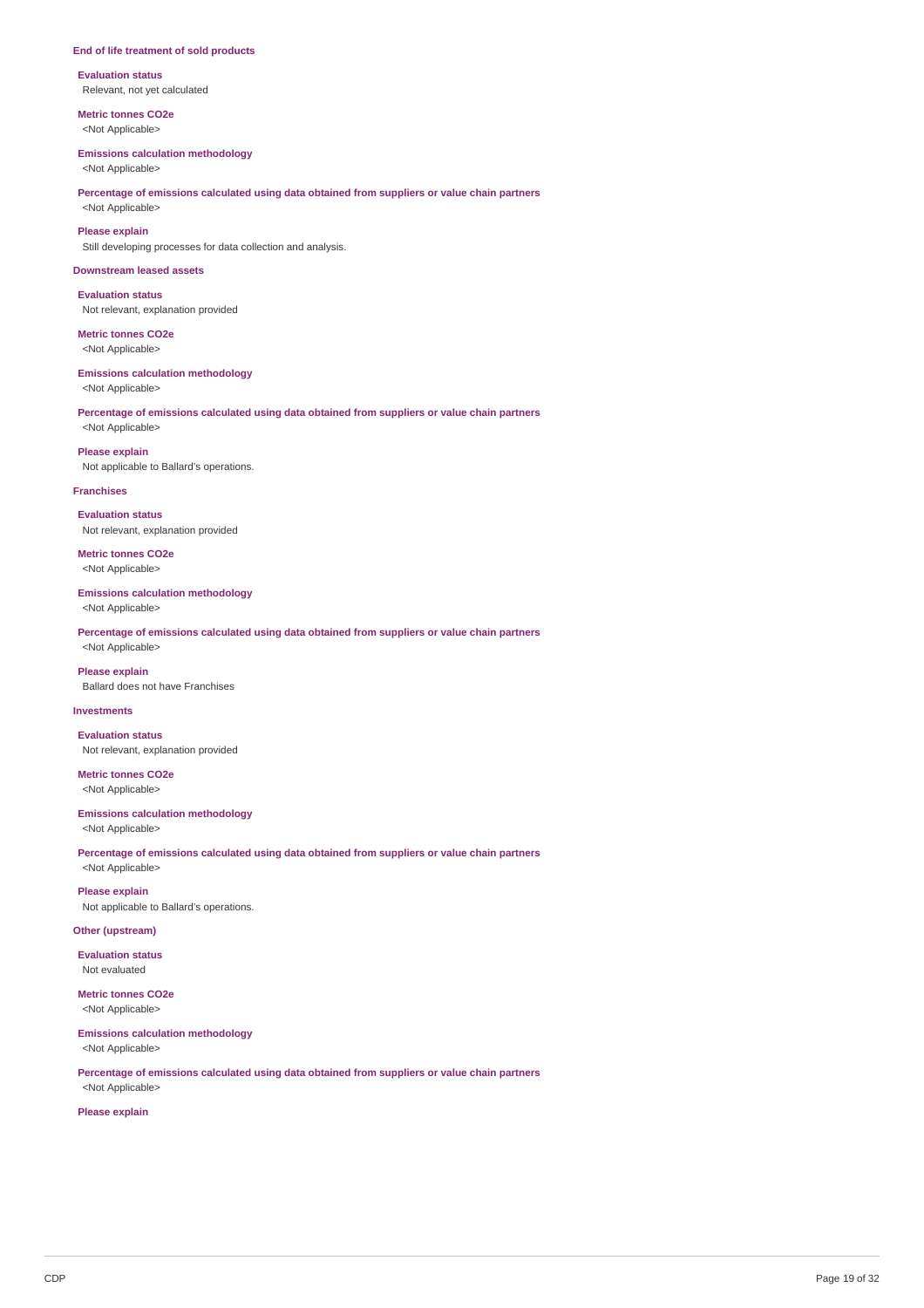#### **End of life treatment of sold products**

**Evaluation status** Relevant, not yet calculated

**Metric tonnes CO2e** <Not Applicable>

#### **Emissions calculation methodology**

<Not Applicable>

### **Percentage of emissions calculated using data obtained from suppliers or value chain partners** <Not Applicable>

**Please explain**

Still developing processes for data collection and analysis.

#### **Downstream leased assets**

**Evaluation status** Not relevant, explanation provided

**Metric tonnes CO2e** <Not Applicable>

### **Emissions calculation methodology**

<Not Applicable>

**Percentage of emissions calculated using data obtained from suppliers or value chain partners** <Not Applicable>

**Please explain** Not applicable to Ballard's operations.

#### **Franchises**

**Evaluation status** Not relevant, explanation provided

**Metric tonnes CO2e** <Not Applicable>

### **Emissions calculation methodology**

<Not Applicable>

**Percentage of emissions calculated using data obtained from suppliers or value chain partners** <Not Applicable>

**Please explain** Ballard does not have Franchises

# **Investments**

**Evaluation status** Not relevant, explanation provided

**Metric tonnes CO2e** <Not Applicable>

#### **Emissions calculation methodology**

<Not Applicable>

**Percentage of emissions calculated using data obtained from suppliers or value chain partners** <Not Applicable>

**Please explain** Not applicable to Ballard's operations.

### **Other (upstream)**

**Evaluation status** Not evaluated

**Metric tonnes CO2e** <Not Applicable>

# **Emissions calculation methodology** <Not Applicable>

**Percentage of emissions calculated using data obtained from suppliers or value chain partners** <Not Applicable>

**Please explain**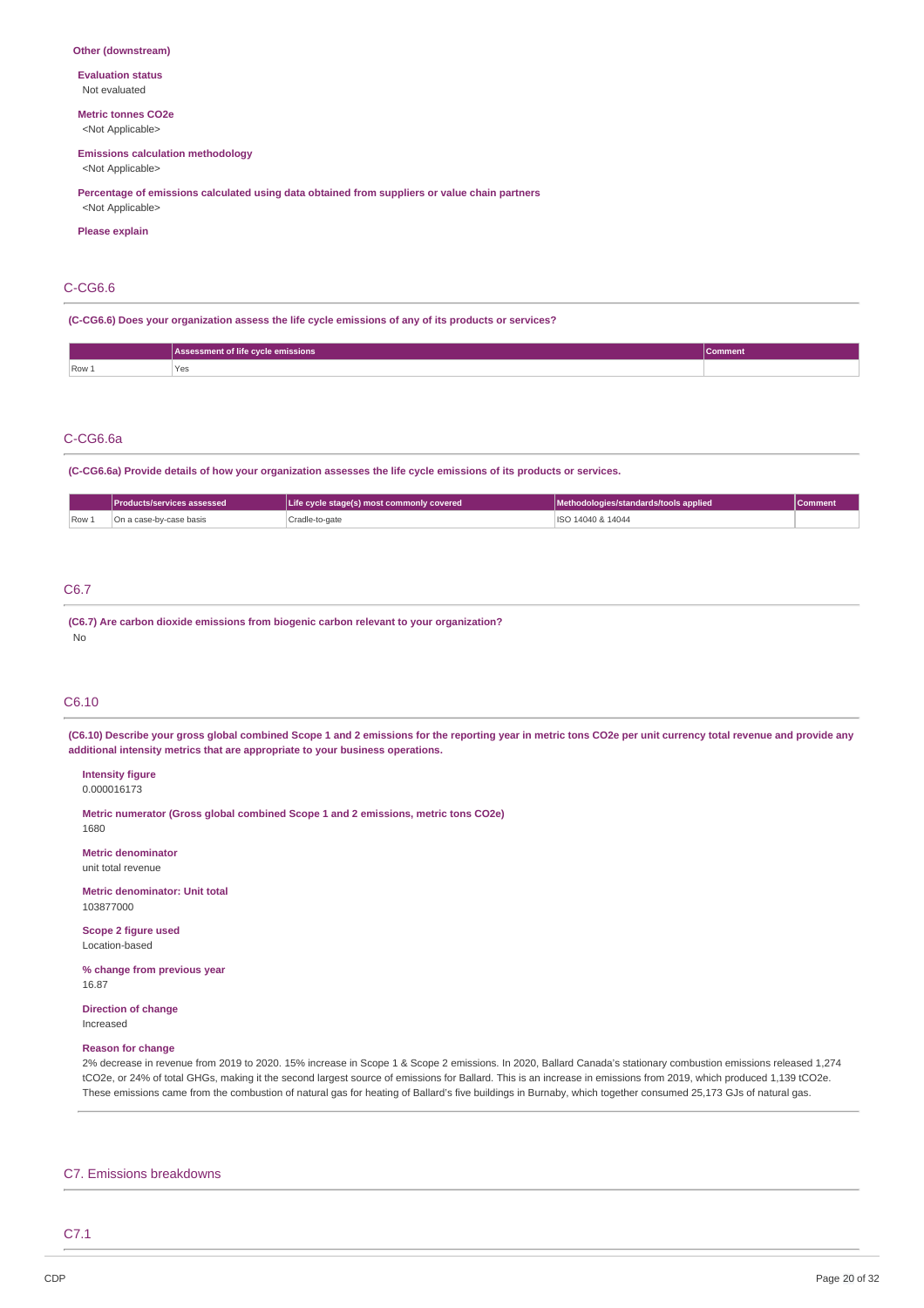#### **Other (downstream)**

**Evaluation status** Not evaluated

# **Metric tonnes CO2e**

<Not Applicable>

# **Emissions calculation methodology**

<Not Applicable>

### **Percentage of emissions calculated using data obtained from suppliers or value chain partners**

<Not Applicable> **Please explain**

### C-CG6.6

**(C-CG6.6) Does your organization assess the life cycle emissions of any of its products or services?**

|       | Assessment of life cycle emissions | <b>Comment</b> |
|-------|------------------------------------|----------------|
| Row 1 | 'Yes<br>___                        |                |

#### C-CG6.6a

(C-CG6.6a) Provide details of how your organization assesses the life cycle emissions of its products or services.

|       | <b>IProducts/services assessed</b> | Life cycle stage(s) most commonly covered | Methodologies/standards/tools applied | <b>Comment</b> |
|-------|------------------------------------|-------------------------------------------|---------------------------------------|----------------|
| Row 1 | On a case-bv-case basis            | . Cradle-to-gate                          | ISO 14040 & 14044                     |                |

# C6.7

**(C6.7) Are carbon dioxide emissions from biogenic carbon relevant to your organization?** No

### C6.10

(C6.10) Describe your gross global combined Scope 1 and 2 emissions for the reporting year in metric tons CO2e per unit currency total revenue and provide any **additional intensity metrics that are appropriate to your business operations.**

#### **Intensity figure** 0.000016173

**Metric numerator (Gross global combined Scope 1 and 2 emissions, metric tons CO2e)** 1680

**Metric denominator**

unit total revenue

**Metric denominator: Unit total** 103877000

**Scope 2 figure used** Location-based

**% change from previous year** 16.87

**Direction of change** Increased

#### **Reason for change**

2% decrease in revenue from 2019 to 2020. 15% increase in Scope 1 & Scope 2 emissions. In 2020, Ballard Canada's stationary combustion emissions released 1,274 tCO2e, or 24% of total GHGs, making it the second largest source of emissions for Ballard. This is an increase in emissions from 2019, which produced 1,139 tCO2e. These emissions came from the combustion of natural gas for heating of Ballard's five buildings in Burnaby, which together consumed 25,173 GJs of natural gas.

### C7. Emissions breakdowns

C7.1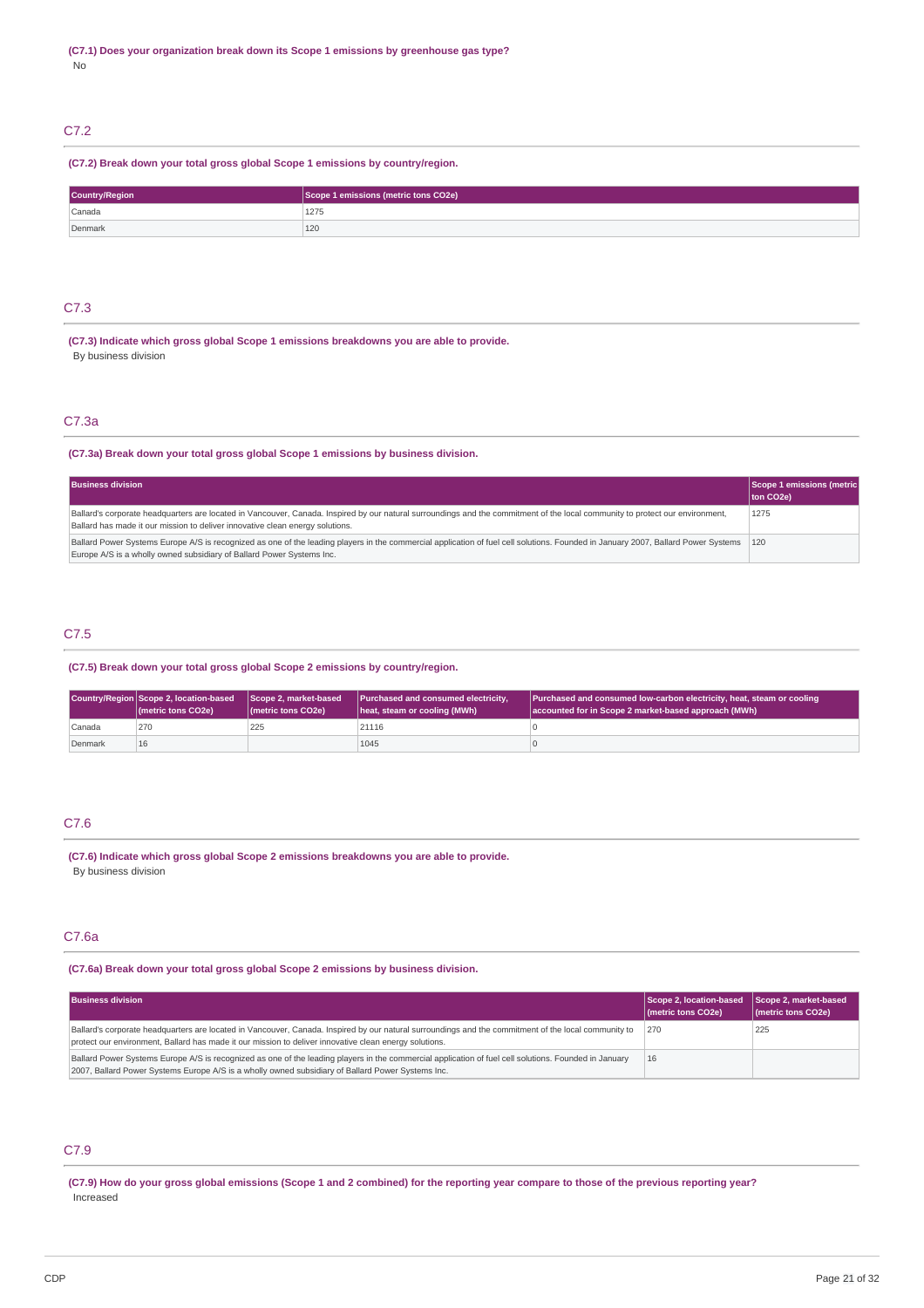# C7.2

## **(C7.2) Break down your total gross global Scope 1 emissions by country/region.**

| Country/Region | Scope 1 emissions (metric tons CO2e) |
|----------------|--------------------------------------|
| Canada         | 1275                                 |
| Denmark        | 120                                  |

### C7.3

**(C7.3) Indicate which gross global Scope 1 emissions breakdowns you are able to provide.** By business division

# C7.3a

### **(C7.3a) Break down your total gross global Scope 1 emissions by business division.**

| <b>Business division</b>                                                                                                                                                                                                                                       | Scope 1 emissions (metric<br>ton CO2e) |
|----------------------------------------------------------------------------------------------------------------------------------------------------------------------------------------------------------------------------------------------------------------|----------------------------------------|
| Ballard's corporate headquarters are located in Vancouver, Canada. Inspired by our natural surroundings and the commitment of the local community to protect our environment,<br>Ballard has made it our mission to deliver innovative clean energy solutions. | 1275                                   |
| Ballard Power Systems Europe A/S is recognized as one of the leading players in the commercial application of fuel cell solutions. Founded in January 2007, Ballard Power Systems 120<br>Europe A/S is a wholly owned subsidiary of Ballard Power Systems Inc. |                                        |

# C7.5

#### **(C7.5) Break down your total gross global Scope 2 emissions by country/region.**

|         | Country/Region Scope 2, location-based<br>(metric tons CO2e) | Scope 2. market-based<br>( <i>I</i> metric tons CO <sub>2</sub> e) | Purchased and consumed electricity,<br>heat, steam or cooling (MWh) | Purchased and consumed low-carbon electricity, heat, steam or cooling<br>accounted for in Scope 2 market-based approach (MWh) |
|---------|--------------------------------------------------------------|--------------------------------------------------------------------|---------------------------------------------------------------------|-------------------------------------------------------------------------------------------------------------------------------|
| Canada  | 270                                                          | 225                                                                | 21116                                                               |                                                                                                                               |
| Denmark | 16                                                           |                                                                    | 1045                                                                |                                                                                                                               |

# C7.6

**(C7.6) Indicate which gross global Scope 2 emissions breakdowns you are able to provide.** By business division

## C7.6a

# **(C7.6a) Break down your total gross global Scope 2 emissions by business division.**

| <b>Business division</b>                                                                                                                                                                                                                                       | Scope 2, location-based<br>(metric tons CO2e) | Scope 2, market-based<br>(metric tons CO2e) |
|----------------------------------------------------------------------------------------------------------------------------------------------------------------------------------------------------------------------------------------------------------------|-----------------------------------------------|---------------------------------------------|
| Ballard's corporate headquarters are located in Vancouver, Canada. Inspired by our natural surroundings and the commitment of the local community to<br>protect our environment, Ballard has made it our mission to deliver innovative clean energy solutions. | 270                                           | 225                                         |
| Ballard Power Systems Europe A/S is recognized as one of the leading players in the commercial application of fuel cell solutions. Founded in January<br>2007, Ballard Power Systems Europe A/S is a wholly owned subsidiary of Ballard Power Systems Inc.     | 16                                            |                                             |

# C7.9

(C7.9) How do your gross global emissions (Scope 1 and 2 combined) for the reporting year compare to those of the previous reporting year? Increased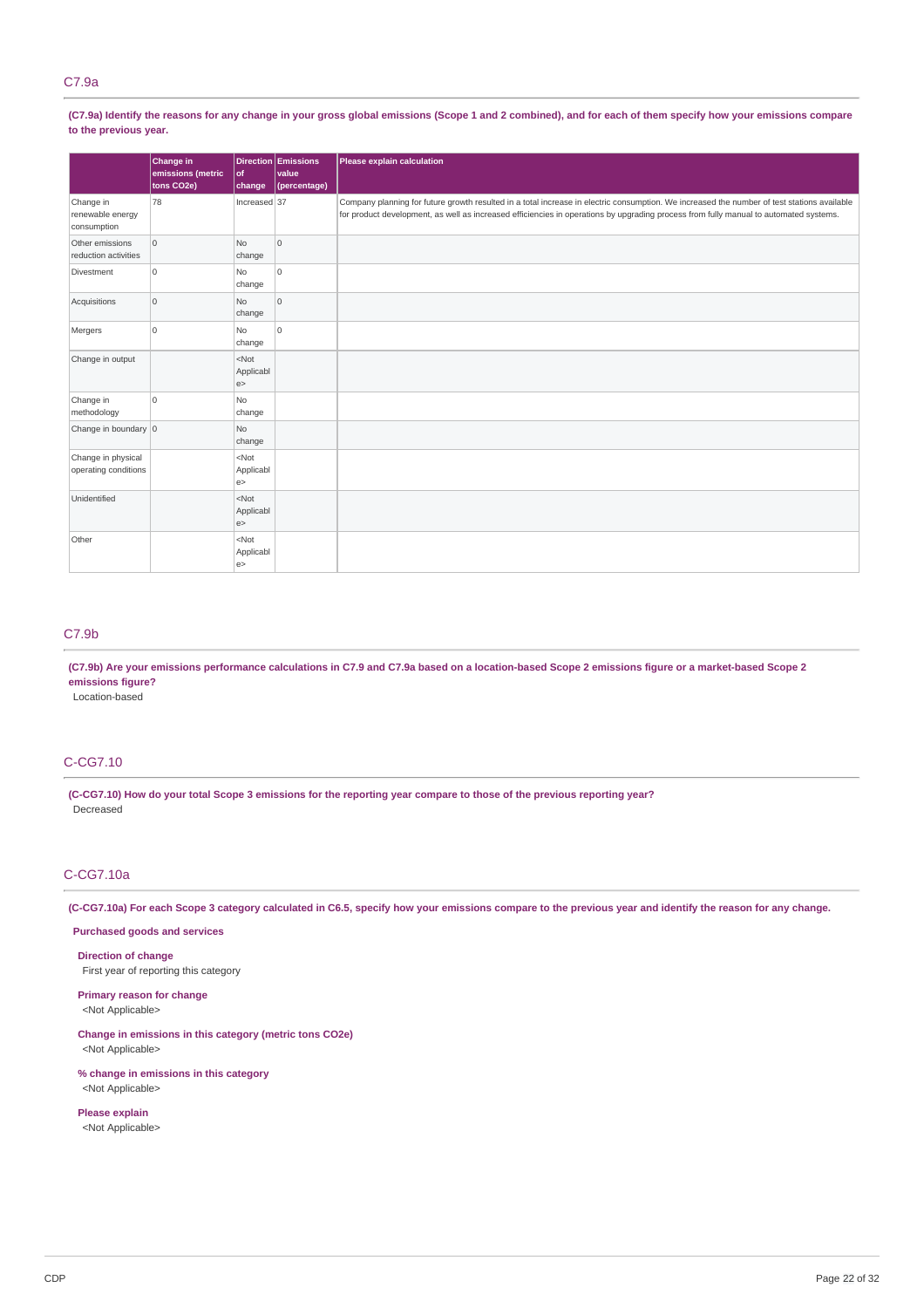## C7.9a

(C7.9a) Identify the reasons for any change in your gross global emissions (Scope 1 and 2 combined), and for each of them specify how your emissions compare **to the previous year.**

|                                              | Change in<br>emissions (metric<br>tons CO2e) | of<br>change              | Direction Emissions<br>value<br>(percentage) | Please explain calculation                                                                                                                                                                                                                                                           |
|----------------------------------------------|----------------------------------------------|---------------------------|----------------------------------------------|--------------------------------------------------------------------------------------------------------------------------------------------------------------------------------------------------------------------------------------------------------------------------------------|
| Change in<br>renewable energy<br>consumption | 78                                           | Increased 37              |                                              | Company planning for future growth resulted in a total increase in electric consumption. We increased the number of test stations available<br>for product development, as well as increased efficiencies in operations by upgrading process from fully manual to automated systems. |
| Other emissions<br>reduction activities      | $\overline{0}$                               | N <sub>o</sub><br>change  | lo.                                          |                                                                                                                                                                                                                                                                                      |
| Divestment                                   | $\overline{0}$                               | <b>No</b><br>change       | $\circ$                                      |                                                                                                                                                                                                                                                                                      |
| Acquisitions                                 | $\overline{0}$                               | N <sub>o</sub><br>change  | lo.                                          |                                                                                                                                                                                                                                                                                      |
| Mergers                                      | $\overline{0}$                               | N <sub>o</sub><br>change  | lo.                                          |                                                                                                                                                                                                                                                                                      |
| Change in output                             |                                              | $<$ Not<br>Applicabl<br>e |                                              |                                                                                                                                                                                                                                                                                      |
| Change in<br>methodology                     | $\overline{0}$                               | <b>No</b><br>change       |                                              |                                                                                                                                                                                                                                                                                      |
| Change in boundary 0                         |                                              | N <sub>o</sub><br>change  |                                              |                                                                                                                                                                                                                                                                                      |
| Change in physical<br>operating conditions   |                                              | $<$ Not<br>Applicabl<br>e |                                              |                                                                                                                                                                                                                                                                                      |
| Unidentified                                 |                                              | $<$ Not<br>Applicabl<br>e |                                              |                                                                                                                                                                                                                                                                                      |
| Other                                        |                                              | $<$ Not<br>Applicabl<br>e |                                              |                                                                                                                                                                                                                                                                                      |

# C7.9b

(C7.9b) Are your emissions performance calculations in C7.9 and C7.9a based on a location-based Scope 2 emissions figure or a market-based Scope 2 **emissions figure?**

Location-based

# C-CG7.10

(C-CG7.10) How do your total Scope 3 emissions for the reporting year compare to those of the previous reporting year? Decreased

# C-CG7.10a

(C-CG7.10a) For each Scope 3 category calculated in C6.5, specify how your emissions compare to the previous year and identify the reason for any change.

**Purchased goods and services**

**Direction of change** First year of reporting this category

**Primary reason for change** <Not Applicable>

**Change in emissions in this category (metric tons CO2e)** <Not Applicable>

**% change in emissions in this category** <Not Applicable>

**Please explain** <Not Applicable>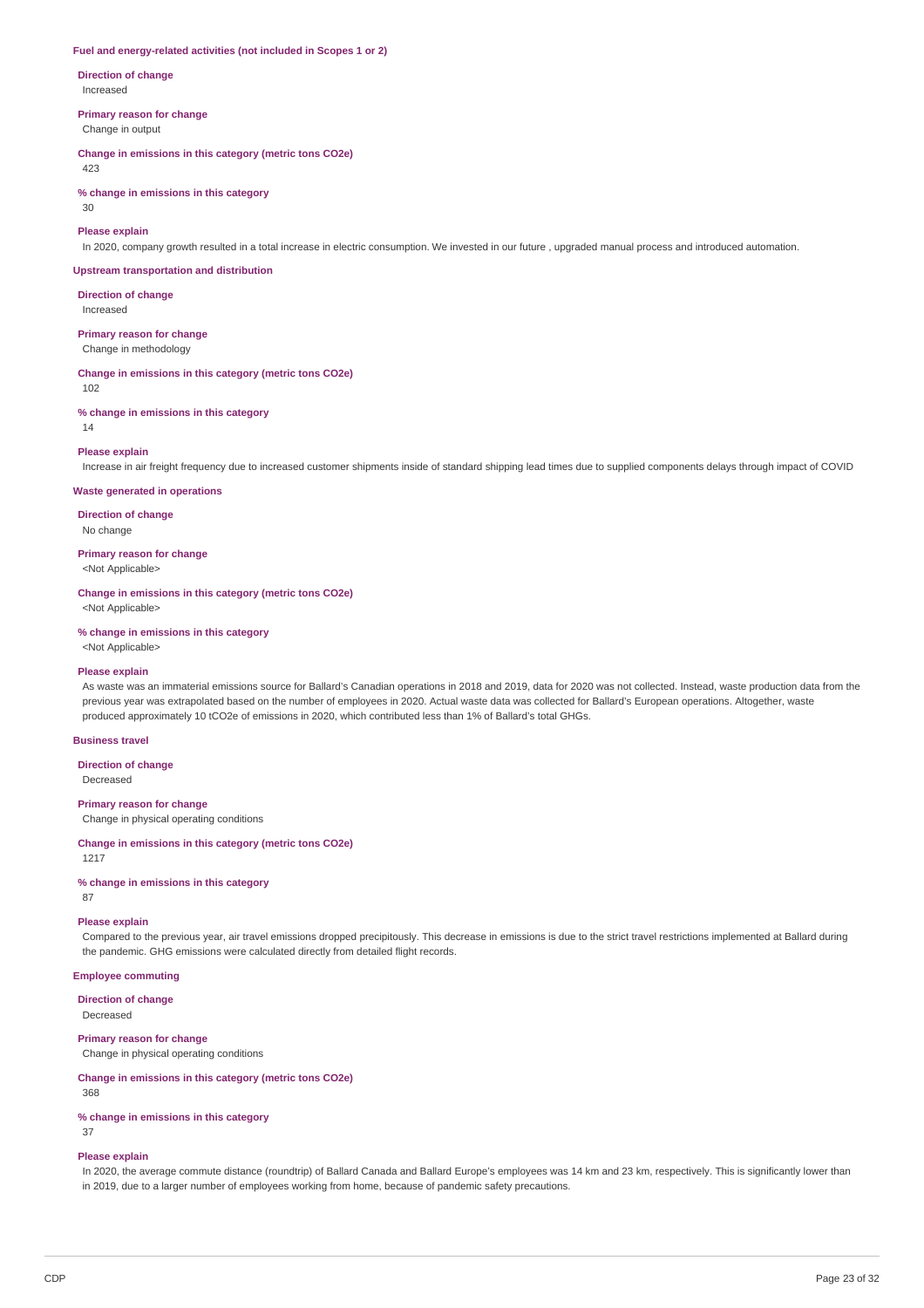#### **Fuel and energy-related activities (not included in Scopes 1 or 2)**

**Direction of change** Increased

#### **Primary reason for change**

Change in output

### **Change in emissions in this category (metric tons CO2e)**

423

### **% change in emissions in this category**

 $30$ 

### **Please explain**

In 2020, company growth resulted in a total increase in electric consumption. We invested in our future , upgraded manual process and introduced automation.

#### **Upstream transportation and distribution**

**Direction of change** Increased

### **Primary reason for change**

Change in methodology

#### **Change in emissions in this category (metric tons CO2e)**

102

#### **% change in emissions in this category**

14

#### **Please explain**

Increase in air freight frequency due to increased customer shipments inside of standard shipping lead times due to supplied components delays through impact of COVID

#### **Waste generated in operations**

**Direction of change**

No change

**Primary reason for change**

<Not Applicable>

# **Change in emissions in this category (metric tons CO2e)**

<Not Applicable>

### **% change in emissions in this category**

<Not Applicable>

### **Please explain**

As waste was an immaterial emissions source for Ballard's Canadian operations in 2018 and 2019, data for 2020 was not collected. Instead, waste production data from the previous year was extrapolated based on the number of employees in 2020. Actual waste data was collected for Ballard's European operations. Altogether, waste produced approximately 10 tCO2e of emissions in 2020, which contributed less than 1% of Ballard's total GHGs.

#### **Business travel**

**Direction of change** Decreased

#### **Primary reason for change**

Change in physical operating conditions

#### **Change in emissions in this category (metric tons CO2e)**

1217

**% change in emissions in this category** 87

#### **Please explain**

Compared to the previous year, air travel emissions dropped precipitously. This decrease in emissions is due to the strict travel restrictions implemented at Ballard during the pandemic. GHG emissions were calculated directly from detailed flight records.

### **Employee commuting**

**Direction of change**

Decreased

### **Primary reason for change**

Change in physical operating conditions

### **Change in emissions in this category (metric tons CO2e)**

368

#### **% change in emissions in this category**

37

# **Please explain**

In 2020, the average commute distance (roundtrip) of Ballard Canada and Ballard Europe's employees was 14 km and 23 km, respectively. This is significantly lower than in 2019, due to a larger number of employees working from home, because of pandemic safety precautions.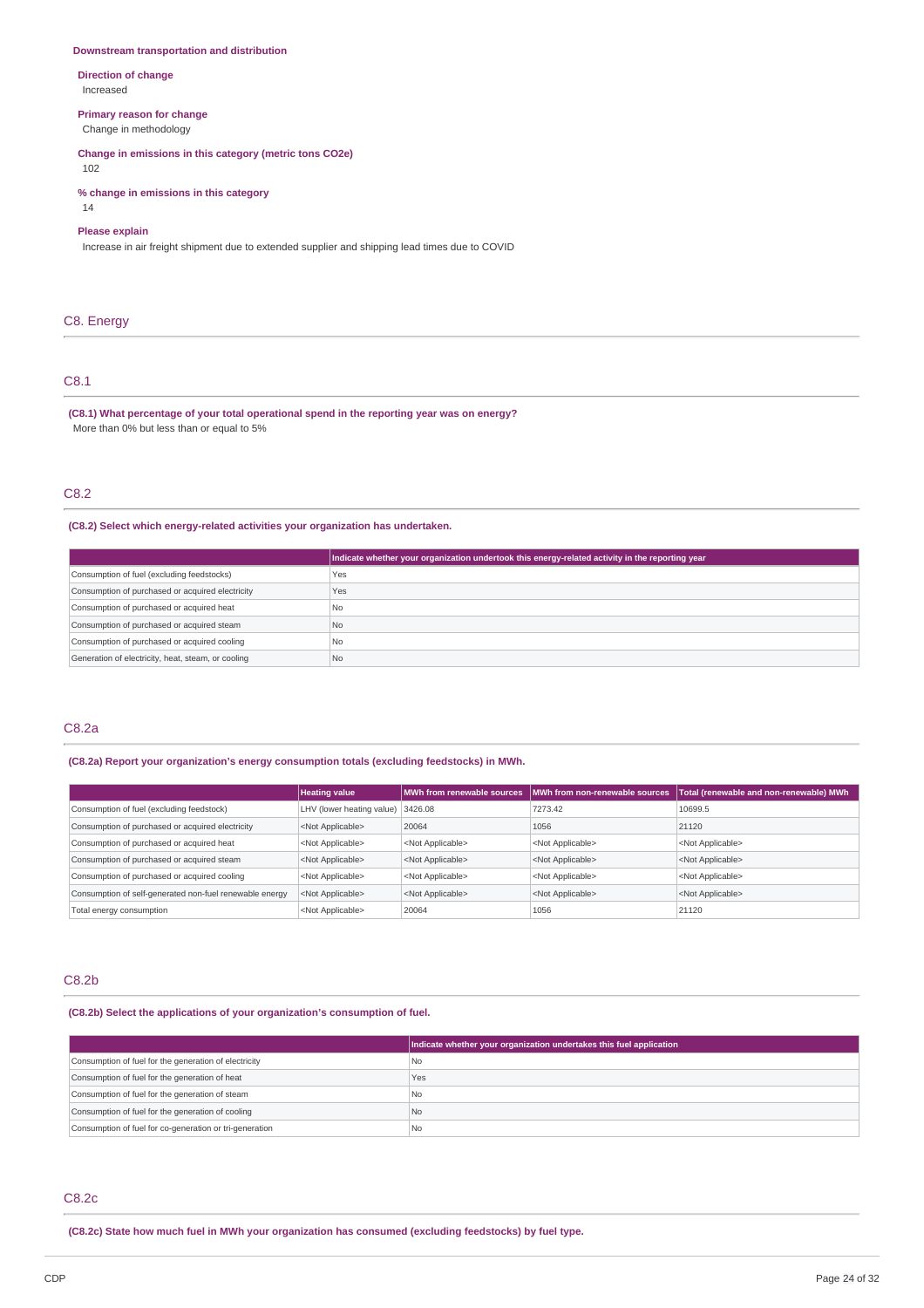#### **Downstream transportation and distribution**

**Direction of change** Increased

#### **Primary reason for change**

Change in methodology

**Change in emissions in this category (metric tons CO2e)**

102

**% change in emissions in this category**

### 14

## **Please explain**

Increase in air freight shipment due to extended supplier and shipping lead times due to COVID

### C8. Energy

# C8.1

**(C8.1) What percentage of your total operational spend in the reporting year was on energy?** More than 0% but less than or equal to 5%

# C8.2

**(C8.2) Select which energy-related activities your organization has undertaken.**

|                                                    | Indicate whether your organization undertook this energy-related activity in the reporting year |
|----------------------------------------------------|-------------------------------------------------------------------------------------------------|
| Consumption of fuel (excluding feedstocks)         | Yes                                                                                             |
| Consumption of purchased or acquired electricity   | Yes                                                                                             |
| Consumption of purchased or acquired heat          | l No                                                                                            |
| Consumption of purchased or acquired steam         | N <sub>o</sub>                                                                                  |
| Consumption of purchased or acquired cooling       | No.                                                                                             |
| Generation of electricity, heat, steam, or cooling | No                                                                                              |

# C8.2a

### **(C8.2a) Report your organization's energy consumption totals (excluding feedstocks) in MWh.**

|                                                         | <b>Heating value</b>              |                           | MWh from renewable sources IMWh from non-renewable sources | Total (renewable and non-renewable) MWh |
|---------------------------------------------------------|-----------------------------------|---------------------------|------------------------------------------------------------|-----------------------------------------|
| Consumption of fuel (excluding feedstock)               | LHV (lower heating value) 3426.08 |                           | 7273.42                                                    | 10699.5                                 |
| Consumption of purchased or acquired electricity        | <not applicable=""></not>         | 20064                     | 1056                                                       | 21120                                   |
| Consumption of purchased or acquired heat               | <not applicable=""></not>         | <not applicable=""></not> | <not applicable=""></not>                                  | <not applicable=""></not>               |
| Consumption of purchased or acquired steam              | <not applicable=""></not>         | <not applicable=""></not> | <not applicable=""></not>                                  | <not applicable=""></not>               |
| Consumption of purchased or acquired cooling            | <not applicable=""></not>         | <not applicable=""></not> | <not applicable=""></not>                                  | <not applicable=""></not>               |
| Consumption of self-generated non-fuel renewable energy | <not applicable=""></not>         | <not applicable=""></not> | <not applicable=""></not>                                  | <not applicable=""></not>               |
| Total energy consumption                                | <not applicable=""></not>         | 20064                     | 1056                                                       | 21120                                   |

# C8.2b

**(C8.2b) Select the applications of your organization's consumption of fuel.**

|                                                         | Indicate whether your organization undertakes this fuel application |
|---------------------------------------------------------|---------------------------------------------------------------------|
| Consumption of fuel for the generation of electricity   | l No                                                                |
| Consumption of fuel for the generation of heat          | Yes                                                                 |
| Consumption of fuel for the generation of steam         | l No                                                                |
| Consumption of fuel for the generation of cooling       | No                                                                  |
| Consumption of fuel for co-generation or tri-generation | l No                                                                |

### C8.2c

**(C8.2c) State how much fuel in MWh your organization has consumed (excluding feedstocks) by fuel type.**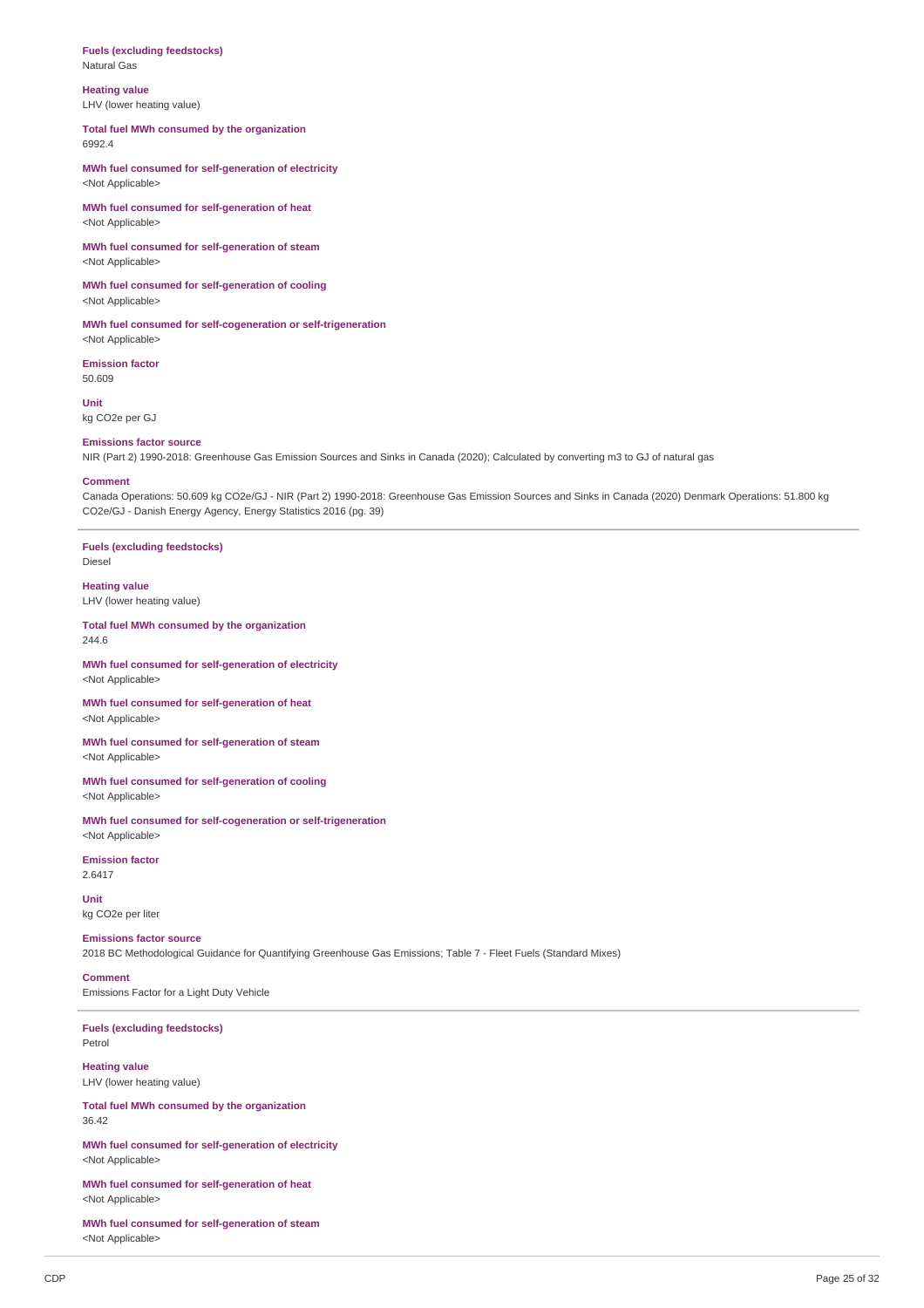#### **Fuels (excluding feedstocks)** Natural Gas

**Heating value** LHV (lower heating value)

### **Total fuel MWh consumed by the organization** 6992.4

**MWh fuel consumed for self-generation of electricity** <Not Applicable>

**MWh fuel consumed for self-generation of heat** <Not Applicable>

**MWh fuel consumed for self-generation of steam** <Not Applicable>

**MWh fuel consumed for self-generation of cooling** <Not Applicable>

**MWh fuel consumed for self-cogeneration or self-trigeneration** <Not Applicable>

**Emission factor** 50.609

**Unit** kg CO2e per GJ

#### **Emissions factor source**

NIR (Part 2) 1990-2018: Greenhouse Gas Emission Sources and Sinks in Canada (2020); Calculated by converting m3 to GJ of natural gas

#### **Comment**

Canada Operations: 50.609 kg CO2e/GJ - NIR (Part 2) 1990-2018: Greenhouse Gas Emission Sources and Sinks in Canada (2020) Denmark Operations: 51.800 kg CO2e/GJ - Danish Energy Agency, Energy Statistics 2016 (pg. 39)

**Fuels (excluding feedstocks)** Diesel

**Heating value**

LHV (lower heating value)

**Total fuel MWh consumed by the organization** 244.6

**MWh fuel consumed for self-generation of electricity** <Not Applicable>

**MWh fuel consumed for self-generation of heat** <Not Applicable>

**MWh fuel consumed for self-generation of steam** <Not Applicable>

**MWh fuel consumed for self-generation of cooling** <Not Applicable>

**MWh fuel consumed for self-cogeneration or self-trigeneration** <Not Applicable>

**Emission factor** 2.6417

**Unit** kg CO2e per liter

# **Emissions factor source**

2018 BC Methodological Guidance for Quantifying Greenhouse Gas Emissions; Table 7 - Fleet Fuels (Standard Mixes)

**Comment**

Emissions Factor for a Light Duty Vehicle

**Fuels (excluding feedstocks)** Petrol

**Heating value** LHV (lower heating value)

**Total fuel MWh consumed by the organization** 36.42

**MWh fuel consumed for self-generation of electricity** <Not Applicable>

**MWh fuel consumed for self-generation of heat** <Not Applicable>

**MWh fuel consumed for self-generation of steam** <Not Applicable>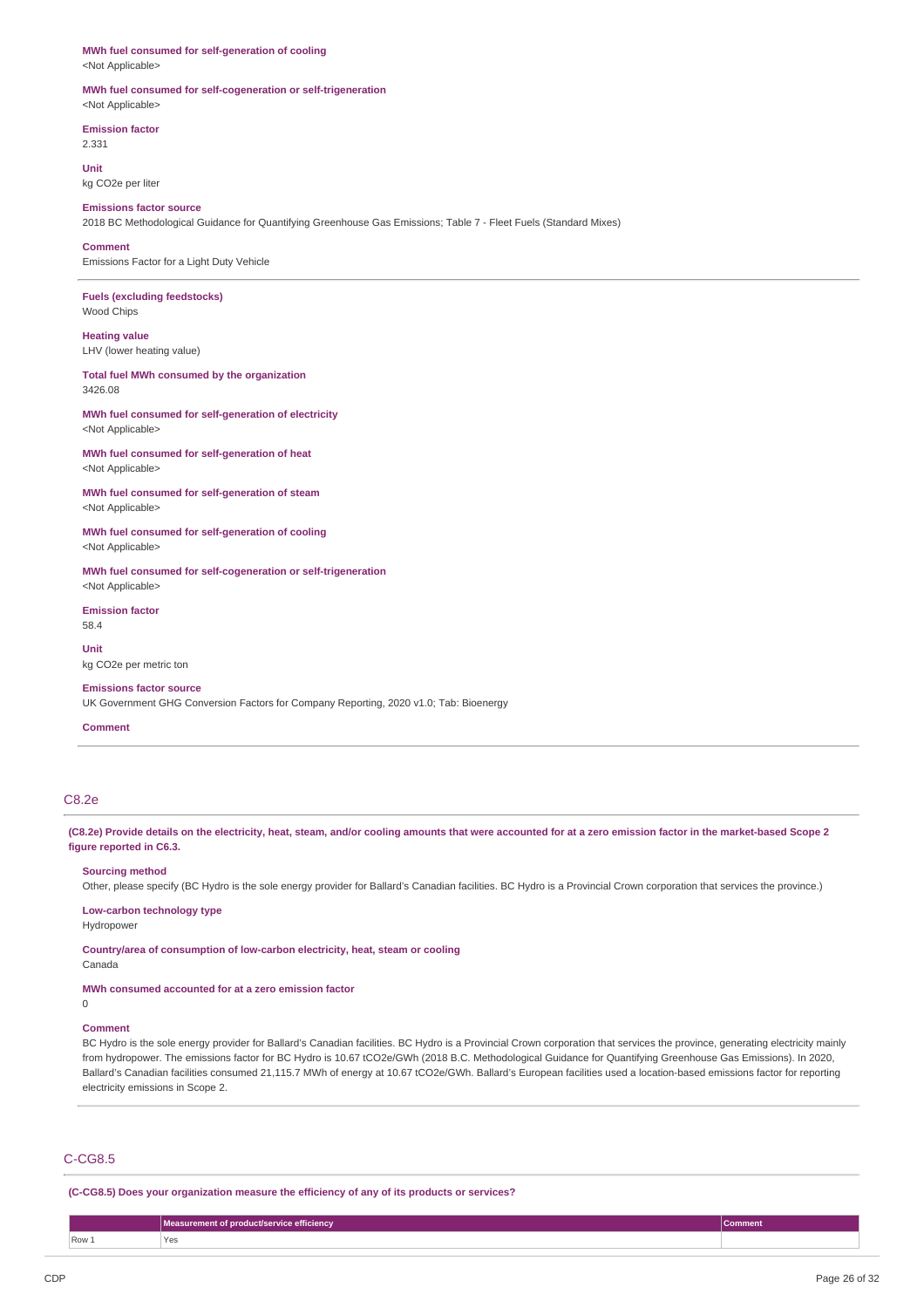# **MWh fuel consumed for self-generation of cooling**

<Not Applicable>

#### **MWh fuel consumed for self-cogeneration or self-trigeneration** <Not Applicable>

**Emission factor**

2.331

**Unit** kg CO2e per liter

**Emissions factor source**

2018 BC Methodological Guidance for Quantifying Greenhouse Gas Emissions; Table 7 - Fleet Fuels (Standard Mixes)

#### **Comment**

Emissions Factor for a Light Duty Vehicle

**Fuels (excluding feedstocks)** Wood Chips

### **Heating value** LHV (lower heating value)

**Total fuel MWh consumed by the organization** 3426.08

**MWh fuel consumed for self-generation of electricity** <Not Applicable>

**MWh fuel consumed for self-generation of heat** <Not Applicable>

**MWh fuel consumed for self-generation of steam** <Not Applicable>

**MWh fuel consumed for self-generation of cooling** <Not Applicable>

**MWh fuel consumed for self-cogeneration or self-trigeneration** <Not Applicable>

**Emission factor** 58.4

**Unit**

kg CO2e per metric ton

### **Emissions factor source**

UK Government GHG Conversion Factors for Company Reporting, 2020 v1.0; Tab: Bioenergy

#### **Comment**

#### C8.2e

(C8.2e) Provide details on the electricity, heat, steam, and/or cooling amounts that were accounted for at a zero emission factor in the market-based Scope 2 **figure reported in C6.3.**

#### **Sourcing method**

Other, please specify (BC Hydro is the sole energy provider for Ballard's Canadian facilities. BC Hydro is a Provincial Crown corporation that services the province.)

**Low-carbon technology type**

Hydropower

**Country/area of consumption of low-carbon electricity, heat, steam or cooling** Canada

#### **MWh consumed accounted for at a zero emission factor** 0

### **Comment**

BC Hydro is the sole energy provider for Ballard's Canadian facilities. BC Hydro is a Provincial Crown corporation that services the province, generating electricity mainly from hydropower. The emissions factor for BC Hydro is 10.67 tCO2e/GWh (2018 B.C. Methodological Guidance for Quantifying Greenhouse Gas Emissions). In 2020, Ballard's Canadian facilities consumed 21,115.7 MWh of energy at 10.67 tCO2e/GWh. Ballard's European facilities used a location-based emissions factor for reporting electricity emissions in Scope 2.

### C-CG8.5

**(C-CG8.5) Does your organization measure the efficiency of any of its products or services?**

|         | Measurement of product/service efficiency | <b>Comment</b> |
|---------|-------------------------------------------|----------------|
| $Row_1$ | Yes<br>$\sim$ $\sim$ $\sim$               |                |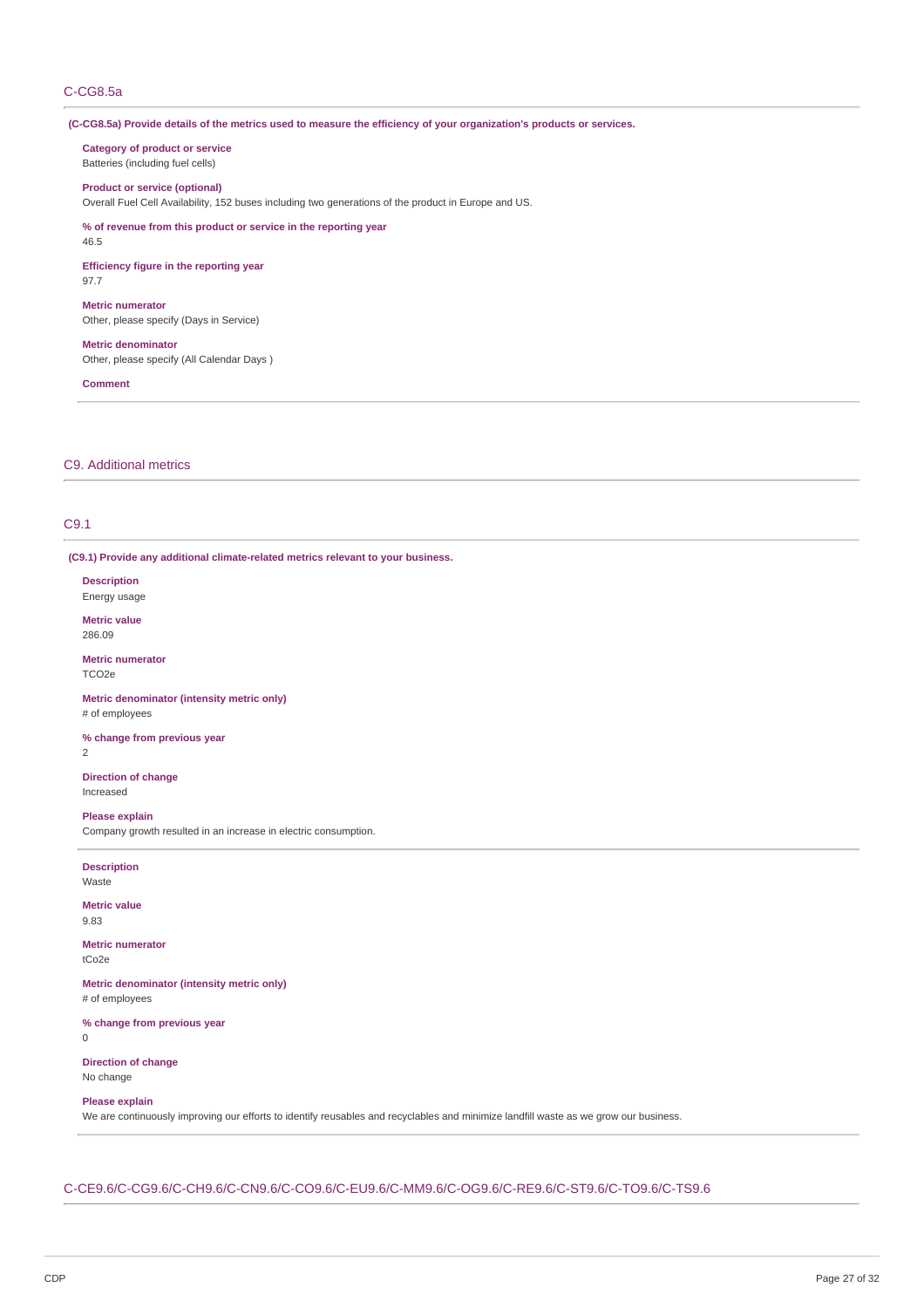# C-CG8.5a

(C-CG8.5a) Provide details of the metrics used to measure the efficiency of your organization's products or services.

**Category of product or service** Batteries (including fuel cells)

#### **Product or service (optional)**

Overall Fuel Cell Availability, 152 buses including two generations of the product in Europe and US.

**% of revenue from this product or service in the reporting year** 46.5

**Efficiency figure in the reporting year** 97.7

**Metric numerator** Other, please specify (Days in Service)

**Metric denominator** Other, please specify (All Calendar Days )

**Comment**

### C9. Additional metrics

# C9.1

**(C9.1) Provide any additional climate-related metrics relevant to your business.**

**Description** Energy usage

**Metric value** 286.09

**Metric numerator** TCO2e

**Metric denominator (intensity metric only)** # of employees

**% change from previous year**

2

**Direction of change** Increased

**Please explain**

Company growth resulted in an increase in electric consumption.

**Description** Waste

**Metric value** 9.83

**Metric numerator** tCo2e

**Metric denominator (intensity metric only)** # of employees

**% change from previous year** 0

**Direction of change** No change

#### **Please explain**

We are continuously improving our efforts to identify reusables and recyclables and minimize landfill waste as we grow our business.

C-CE9.6/C-CG9.6/C-CH9.6/C-CN9.6/C-CO9.6/C-EU9.6/C-MM9.6/C-OG9.6/C-RE9.6/C-ST9.6/C-TO9.6/C-TS9.6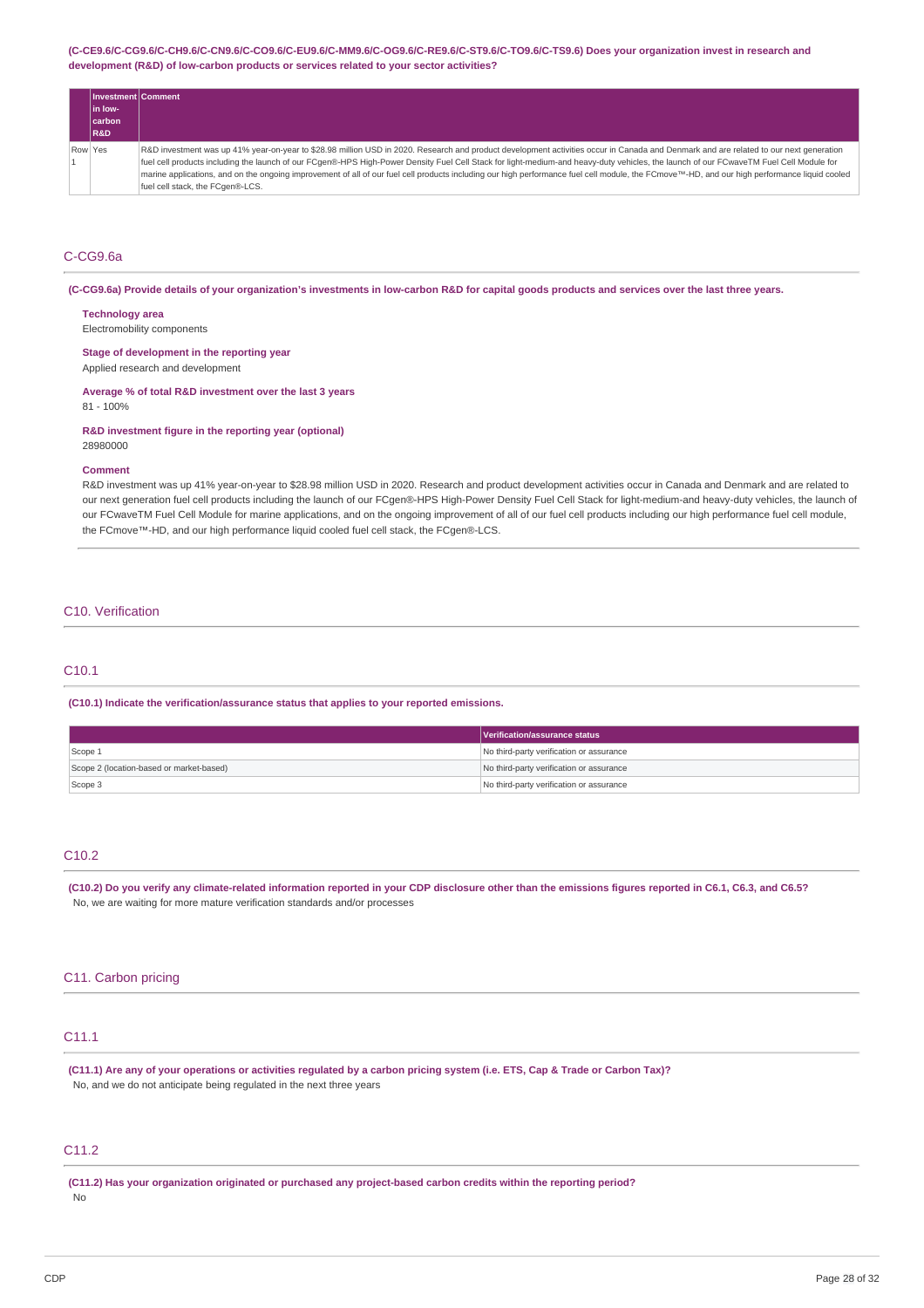#### **(C-CE9.6/C-CG9.6/C-CH9.6/C-CN9.6/C-CO9.6/C-EU9.6/C-MM9.6/C-OG9.6/C-RE9.6/C-ST9.6/C-TO9.6/C-TS9.6) Does your organization invest in research and development (R&D) of low-carbon products or services related to your sector activities?**

| Investment Comment |                                                                                                                                                                                              |
|--------------------|----------------------------------------------------------------------------------------------------------------------------------------------------------------------------------------------|
| lin low-           |                                                                                                                                                                                              |
| <b>carbon</b>      |                                                                                                                                                                                              |
| <b>R&amp;D</b>     |                                                                                                                                                                                              |
| Row Yes            | R&D investment was up 41% year-on-year to \$28.98 million USD in 2020. Research and product development activities occur in Canada and Denmark and are related to our next generation        |
|                    | fuel cell products including the launch of our FCgen®-HPS High-Power Density Fuel Cell Stack for light-medium-and heavy-duty vehicles, the launch of our FCwaveTM Fuel Cell Module for       |
|                    | marine applications, and on the ongoing improvement of all of our fuel cell products including our high performance fuel cell module, the FCmove™-HD, and our high performance liquid cooled |
|                    | fuel cell stack, the FCgen®-LCS.                                                                                                                                                             |

# C-CG9.6a

(C-CG9.6a) Provide details of your organization's investments in low-carbon R&D for capital goods products and services over the last three years.

#### **Technology area**

Electromobility components

# **Stage of development in the reporting year**

Applied research and development

#### **Average % of total R&D investment over the last 3 years** 81 - 100%

**R&D investment figure in the reporting year (optional)** 28980000

#### **Comment**

R&D investment was up 41% year-on-year to \$28.98 million USD in 2020. Research and product development activities occur in Canada and Denmark and are related to our next generation fuel cell products including the launch of our FCgen®-HPS High-Power Density Fuel Cell Stack for light-medium-and heavy-duty vehicles, the launch of our FCwaveTM Fuel Cell Module for marine applications, and on the ongoing improvement of all of our fuel cell products including our high performance fuel cell module, the FCmove™-HD, and our high performance liquid cooled fuel cell stack, the FCgen®-LCS.

# C10. Verification

# C10.1

**(C10.1) Indicate the verification/assurance status that applies to your reported emissions.**

|                                          | Verification/assurance status            |
|------------------------------------------|------------------------------------------|
| Scope 1                                  | No third-party verification or assurance |
| Scope 2 (location-based or market-based) | No third-party verification or assurance |
| Scope 3                                  | No third-party verification or assurance |

# C10.2

(C10.2) Do you verify any climate-related information reported in your CDP disclosure other than the emissions figures reported in C6.1, C6.3, and C6.5? No, we are waiting for more mature verification standards and/or processes

### C11. Carbon pricing

# C11.1

(C11.1) Are any of your operations or activities regulated by a carbon pricing system (i.e. ETS, Cap & Trade or Carbon Tax)? No, and we do not anticipate being regulated in the next three years

# C11.2

**(C11.2) Has your organization originated or purchased any project-based carbon credits within the reporting period?** No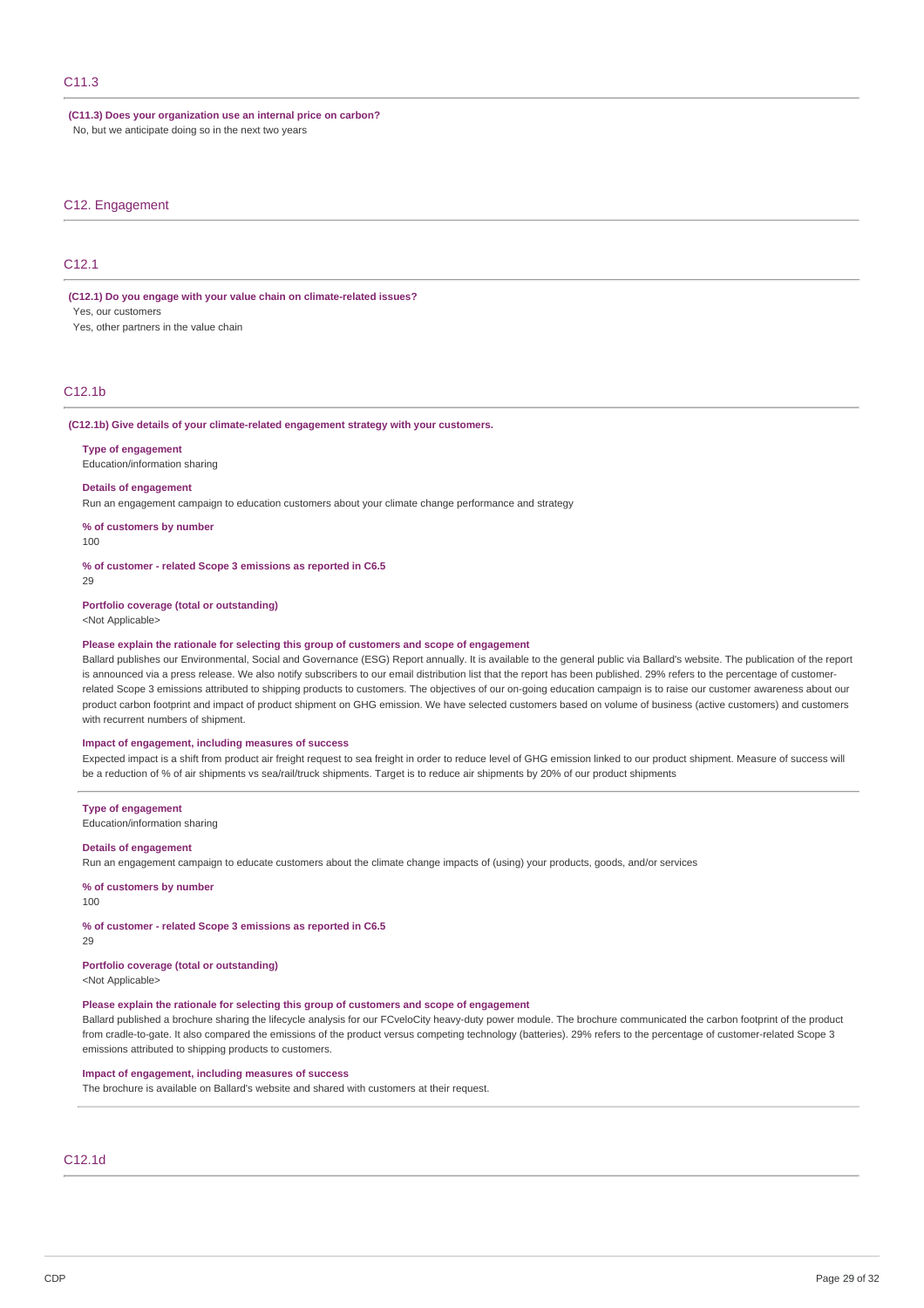**(C11.3) Does your organization use an internal price on carbon?** No, but we anticipate doing so in the next two years

#### C12. Engagement

## C<sub>12</sub>.1

**(C12.1) Do you engage with your value chain on climate-related issues?**

Yes, our customers

Yes, other partners in the value chain

## C12.1b

#### **(C12.1b) Give details of your climate-related engagement strategy with your customers.**

### **Type of engagement**

Education/information sharing

#### **Details of engagement**

Run an engagement campaign to education customers about your climate change performance and strategy

**% of customers by number**

100

**% of customer - related Scope 3 emissions as reported in C6.5**

 $29$ 

#### **Portfolio coverage (total or outstanding)**

<Not Applicable>

#### **Please explain the rationale for selecting this group of customers and scope of engagement**

Ballard publishes our Environmental, Social and Governance (ESG) Report annually. It is available to the general public via Ballard's website. The publication of the report is announced via a press release. We also notify subscribers to our email distribution list that the report has been published. 29% refers to the percentage of customerrelated Scope 3 emissions attributed to shipping products to customers. The objectives of our on-going education campaign is to raise our customer awareness about our product carbon footprint and impact of product shipment on GHG emission. We have selected customers based on volume of business (active customers) and customers with recurrent numbers of shipment.

#### **Impact of engagement, including measures of success**

Expected impact is a shift from product air freight request to sea freight in order to reduce level of GHG emission linked to our product shipment. Measure of success will be a reduction of % of air shipments vs sea/rail/truck shipments. Target is to reduce air shipments by 20% of our product shipments

#### **Type of engagement**

Education/information sharing

#### **Details of engagement**

Run an engagement campaign to educate customers about the climate change impacts of (using) your products, goods, and/or services

#### **% of customers by number**

100

**% of customer - related Scope 3 emissions as reported in C6.5**

29

### **Portfolio coverage (total or outstanding)**

<Not Applicable>

#### **Please explain the rationale for selecting this group of customers and scope of engagement**

Ballard published a brochure sharing the lifecycle analysis for our FCveloCity heavy-duty power module. The brochure communicated the carbon footprint of the product from cradle-to-gate. It also compared the emissions of the product versus competing technology (batteries). 29% refers to the percentage of customer-related Scope 3 emissions attributed to shipping products to customers.

### **Impact of engagement, including measures of success**

The brochure is available on Ballard's website and shared with customers at their request.

### C12.1d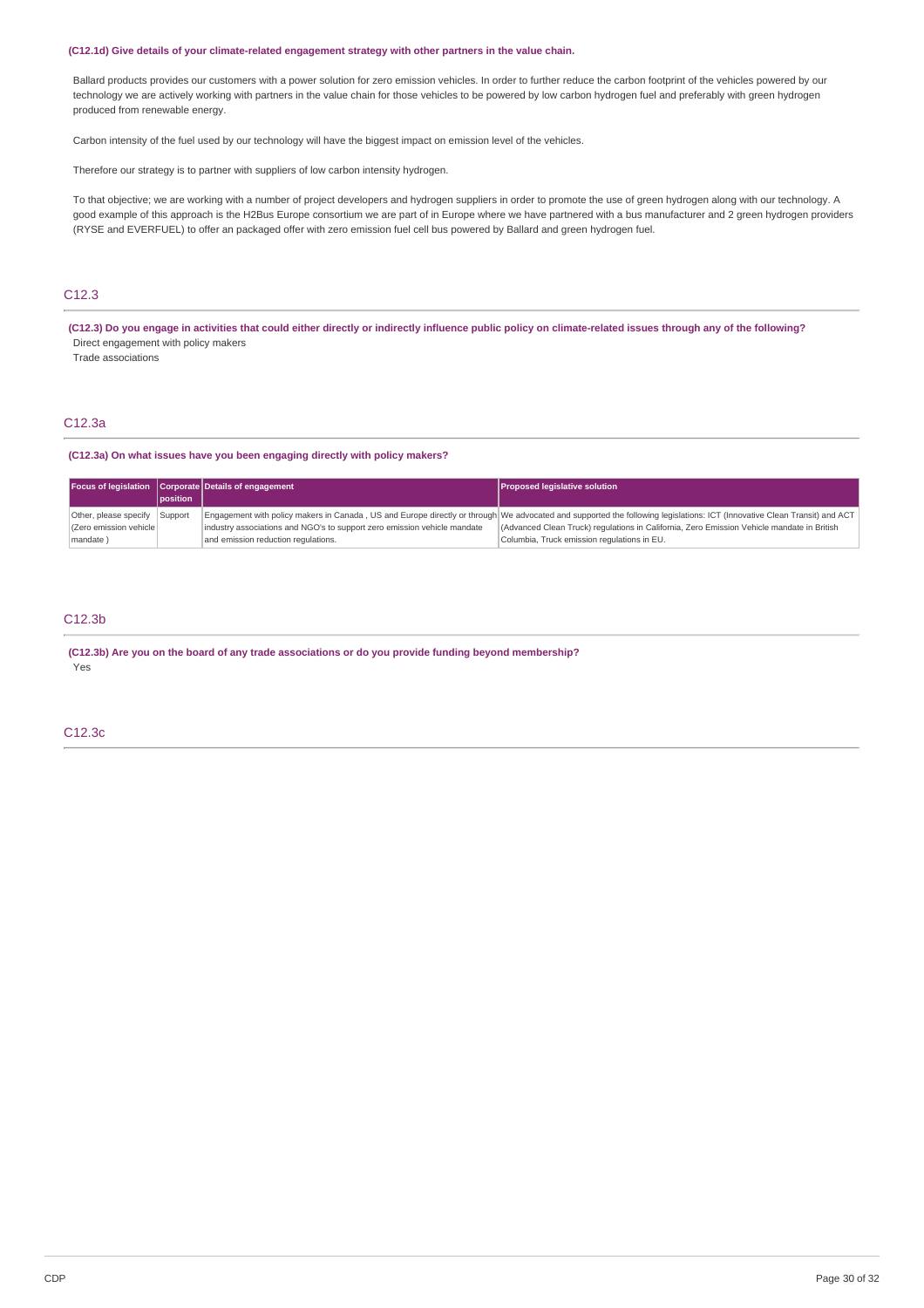#### **(C12.1d) Give details of your climate-related engagement strategy with other partners in the value chain.**

Ballard products provides our customers with a power solution for zero emission vehicles. In order to further reduce the carbon footprint of the vehicles powered by our technology we are actively working with partners in the value chain for those vehicles to be powered by low carbon hydrogen fuel and preferably with green hydrogen produced from renewable energy.

Carbon intensity of the fuel used by our technology will have the biggest impact on emission level of the vehicles.

Therefore our strategy is to partner with suppliers of low carbon intensity hydrogen.

To that objective; we are working with a number of project developers and hydrogen suppliers in order to promote the use of green hydrogen along with our technology. A good example of this approach is the H2Bus Europe consortium we are part of in Europe where we have partnered with a bus manufacturer and 2 green hydrogen providers (RYSE and EVERFUEL) to offer an packaged offer with zero emission fuel cell bus powered by Ballard and green hydrogen fuel.

# C12.3

(C12.3) Do you engage in activities that could either directly or indirectly influence public policy on climate-related issues through any of the following? Direct engagement with policy makers

Trade associations

# C12.3a

#### **(C12.3a) On what issues have you been engaging directly with policy makers?**

|                         |          | Focus of legislation Corporate Details of engagement                     | <b>Proposed legislative solution</b>                                                                                                                                     |
|-------------------------|----------|--------------------------------------------------------------------------|--------------------------------------------------------------------------------------------------------------------------------------------------------------------------|
|                         | position |                                                                          |                                                                                                                                                                          |
| Other, please specify   | Support  |                                                                          | Engagement with policy makers in Canada, US and Europe directly or through We advocated and supported the following legislations: ICT (Innovative Clean Transit) and ACT |
| (Zero emission vehicle) |          | industry associations and NGO's to support zero emission vehicle mandate | (Advanced Clean Truck) regulations in California, Zero Emission Vehicle mandate in British                                                                               |
| mandate)                |          | and emission reduction regulations.                                      | Columbia, Truck emission regulations in EU.                                                                                                                              |

# C12.3b

**(C12.3b) Are you on the board of any trade associations or do you provide funding beyond membership?** Yes

## C12.3c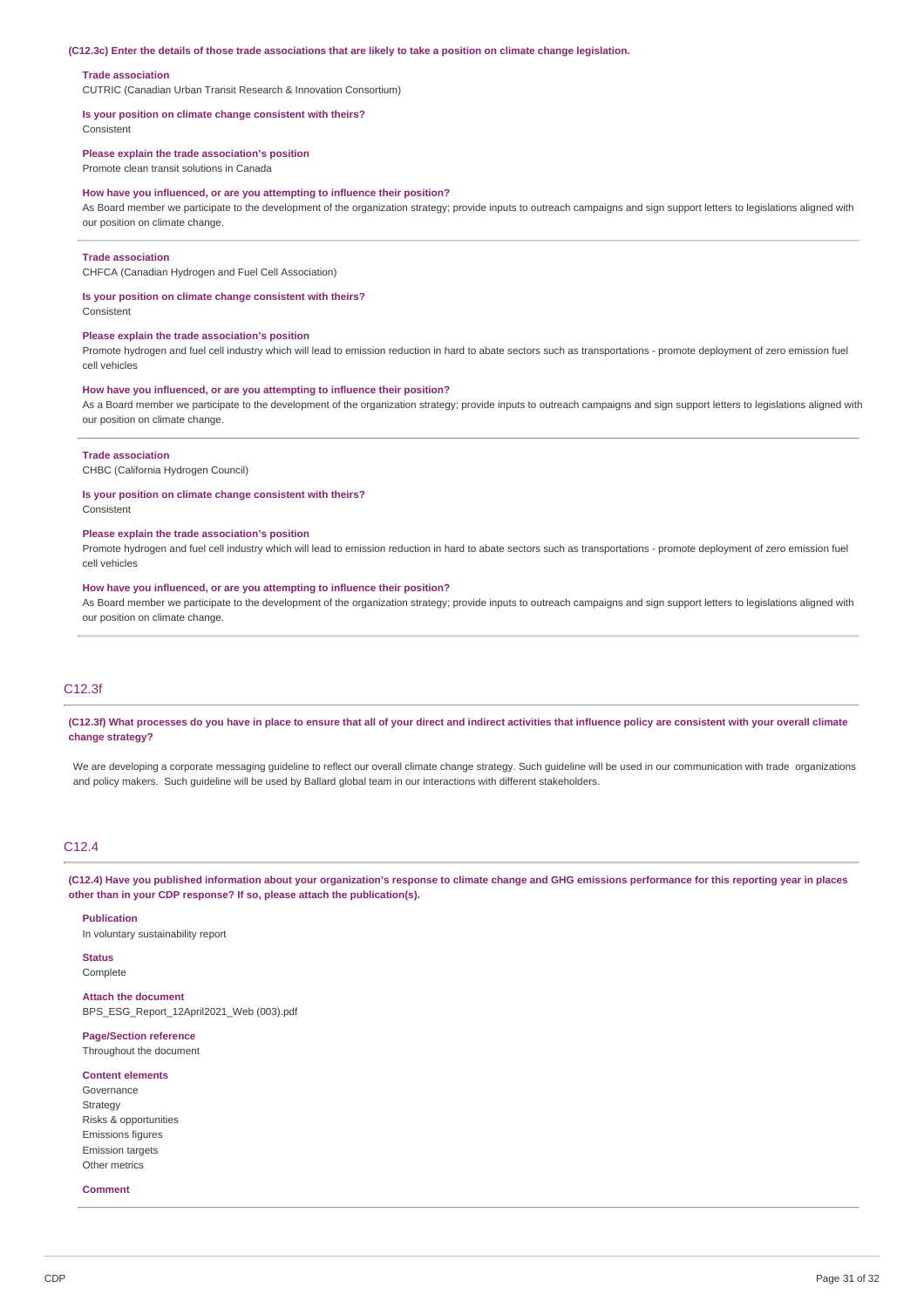#### (C12.3c) Enter the details of those trade associations that are likely to take a position on climate change legislation.

#### **Trade association**

CUTRIC (Canadian Urban Transit Research & Innovation Consortium)

### **Is your position on climate change consistent with theirs?**

Consistent

#### **Please explain the trade association's position**

Promote clean transit solutions in Canada

#### **How have you influenced, or are you attempting to influence their position?**

As Board member we participate to the development of the organization strategy; provide inputs to outreach campaigns and sign support letters to legislations aligned with our position on climate change.

#### **Trade association**

CHFCA (Canadian Hydrogen and Fuel Cell Association)

#### **Is your position on climate change consistent with theirs?**

Consistent

#### **Please explain the trade association's position**

Promote hydrogen and fuel cell industry which will lead to emission reduction in hard to abate sectors such as transportations - promote deployment of zero emission fuel cell vehicles

#### **How have you influenced, or are you attempting to influence their position?**

As a Board member we participate to the development of the organization strategy; provide inputs to outreach campaigns and sign support letters to legislations aligned with our position on climate change.

#### **Trade association**

CHBC (California Hydrogen Council)

### **Is your position on climate change consistent with theirs?**

Consistent

#### **Please explain the trade association's position**

Promote hydrogen and fuel cell industry which will lead to emission reduction in hard to abate sectors such as transportations - promote deployment of zero emission fuel cell vehicles

#### **How have you influenced, or are you attempting to influence their position?**

As Board member we participate to the development of the organization strategy; provide inputs to outreach campaigns and sign support letters to legislations aligned with our position on climate change.

### C12.3f

### (C12.3f) What processes do you have in place to ensure that all of your direct and indirect activities that influence policy are consistent with your overall climate **change strategy?**

We are developing a corporate messaging guideline to reflect our overall climate change strategy. Such guideline will be used in our communication with trade organizations and policy makers. Such quideline will be used by Ballard global team in our interactions with different stakeholders.

## C12.4

(C12.4) Have you published information about your organization's response to climate change and GHG emissions performance for this reporting year in places **other than in your CDP response? If so, please attach the publication(s).**

#### **Publication**

In voluntary sustainability report

# **Status**

**Complete** 

## **Attach the document** BPS\_ESG\_Report\_12April2021\_Web (003).pdf

**Page/Section reference** Throughout the document

#### **Content elements**

Governance Strategy Risks & opportunities Emissions figures Emission targets Other metrics

#### **Comment**